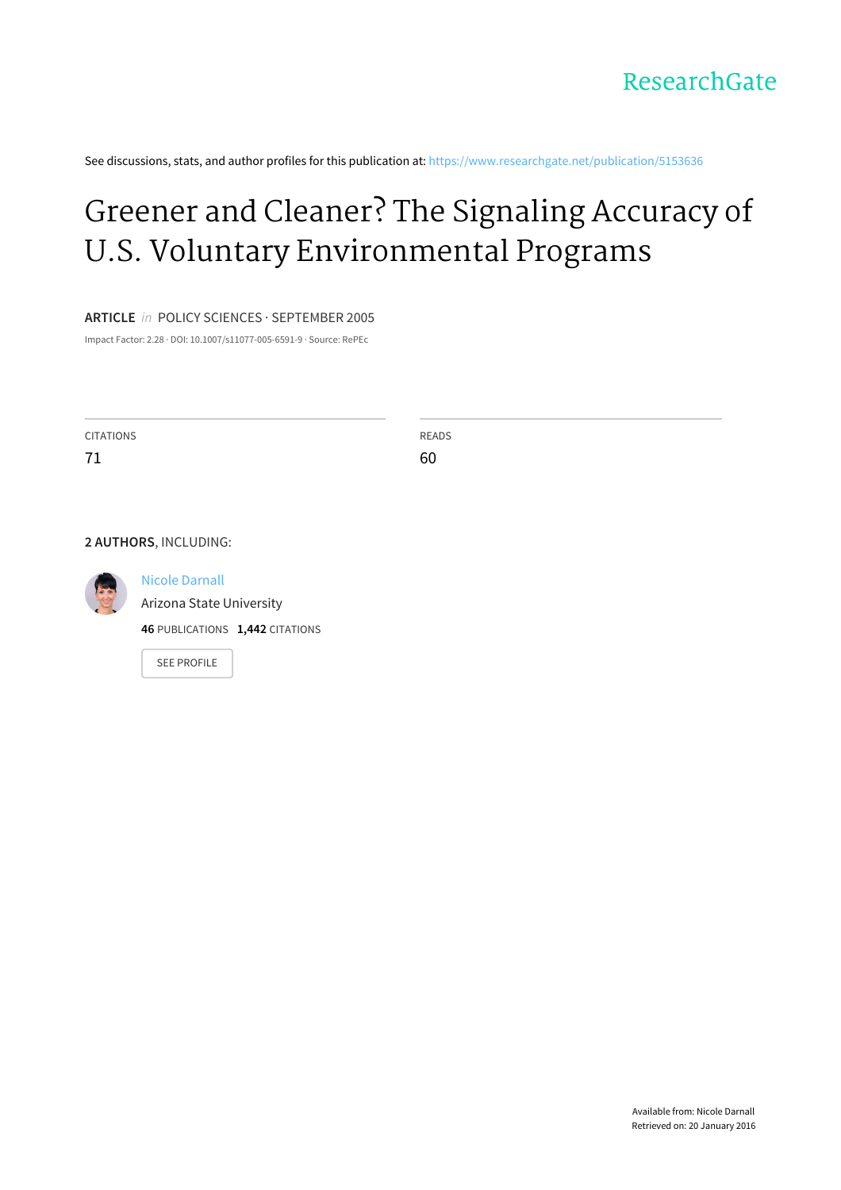See discussions, stats, and author profiles for this publication at: [https://www.researchgate.net/publication/5153636](https://www.researchgate.net/publication/5153636_Greener_and_Cleaner_The_Signaling_Accuracy_of_US_Voluntary_Environmental_Programs?enrichId=rgreq-20488179-1934-48f0-aad5-fb2c35b6f88b&enrichSource=Y292ZXJQYWdlOzUxNTM2MzY7QVM6MTA1MDU4MDQ5OTg2NTYyQDE0MDIwNTkxOTk2MDU%3D&el=1_x_2)

# Greener and Cleaner? The Signaling Accuracy of U.S. Voluntary [Environmental](https://www.researchgate.net/publication/5153636_Greener_and_Cleaner_The_Signaling_Accuracy_of_US_Voluntary_Environmental_Programs?enrichId=rgreq-20488179-1934-48f0-aad5-fb2c35b6f88b&enrichSource=Y292ZXJQYWdlOzUxNTM2MzY7QVM6MTA1MDU4MDQ5OTg2NTYyQDE0MDIwNTkxOTk2MDU%3D&el=1_x_3) Programs

## **ARTICLE** in POLICY SCIENCES · SEPTEMBER 2005

Impact Factor: 2.28 · DOI: 10.1007/s11077-005-6591-9 · Source: RePEc

| <b>CITATIONS</b> | <b>READS</b> |
|------------------|--------------|
| 71               | 60           |

## **2 AUTHORS**, INCLUDING:



Nicole [Darnall](https://www.researchgate.net/profile/Nicole_Darnall?enrichId=rgreq-20488179-1934-48f0-aad5-fb2c35b6f88b&enrichSource=Y292ZXJQYWdlOzUxNTM2MzY7QVM6MTA1MDU4MDQ5OTg2NTYyQDE0MDIwNTkxOTk2MDU%3D&el=1_x_5) Arizona State [University](https://www.researchgate.net/institution/Arizona_State_University?enrichId=rgreq-20488179-1934-48f0-aad5-fb2c35b6f88b&enrichSource=Y292ZXJQYWdlOzUxNTM2MzY7QVM6MTA1MDU4MDQ5OTg2NTYyQDE0MDIwNTkxOTk2MDU%3D&el=1_x_6) **46** PUBLICATIONS **1,442** CITATIONS

SEE [PROFILE](https://www.researchgate.net/profile/Nicole_Darnall?enrichId=rgreq-20488179-1934-48f0-aad5-fb2c35b6f88b&enrichSource=Y292ZXJQYWdlOzUxNTM2MzY7QVM6MTA1MDU4MDQ5OTg2NTYyQDE0MDIwNTkxOTk2MDU%3D&el=1_x_7)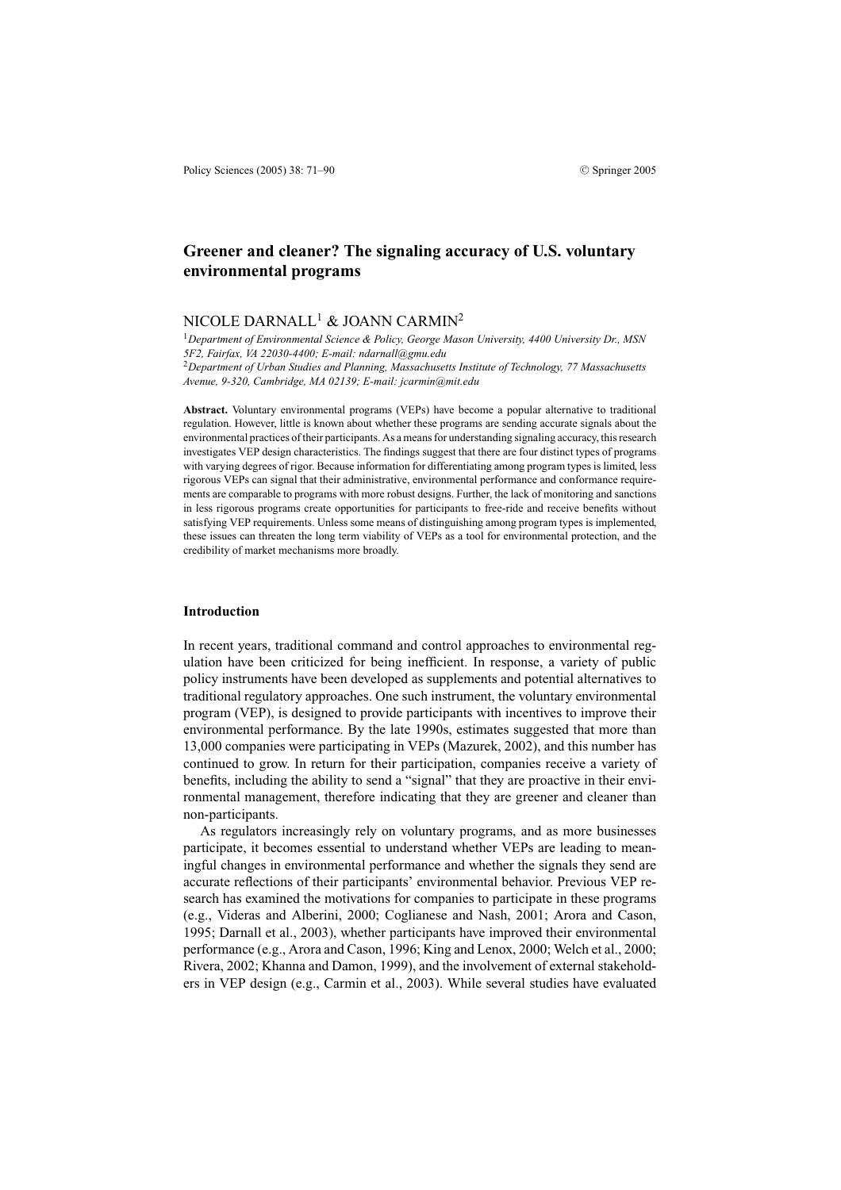# **Greener and cleaner? The signaling accuracy of U.S. voluntary environmental programs**

## NICOLE DARNALL<sup>1</sup> & JOANN CARMIN<sup>2</sup>

<sup>1</sup>*Department of Environmental Science & Policy, George Mason University, 4400 University Dr., MSN 5F2, Fairfax, VA 22030-4400; E-mail: ndarnall@gmu.edu* <sup>2</sup>*Department of Urban Studies and Planning, Massachusetts Institute of Technology, 77 Massachusetts*

*Avenue, 9-320, Cambridge, MA 02139; E-mail: jcarmin@mit.edu*

**Abstract.** Voluntary environmental programs (VEPs) have become a popular alternative to traditional regulation. However, little is known about whether these programs are sending accurate signals about the environmental practices of their participants. As a means for understanding signaling accuracy, this research investigates VEP design characteristics. The findings suggest that there are four distinct types of programs with varying degrees of rigor. Because information for differentiating among program types is limited, less rigorous VEPs can signal that their administrative, environmental performance and conformance requirements are comparable to programs with more robust designs. Further, the lack of monitoring and sanctions in less rigorous programs create opportunities for participants to free-ride and receive benefits without satisfying VEP requirements. Unless some means of distinguishing among program types is implemented, these issues can threaten the long term viability of VEPs as a tool for environmental protection, and the credibility of market mechanisms more broadly.

### **Introduction**

In recent years, traditional command and control approaches to environmental regulation have been criticized for being inefficient. In response, a variety of public policy instruments have been developed as supplements and potential alternatives to traditional regulatory approaches. One such instrument, the voluntary environmental program (VEP), is designed to provide participants with incentives to improve their environmental performance. By the late 1990s, estimates suggested that more than 13,000 companies were participating in VEPs (Mazurek, 2002), and this number has continued to grow. In return for their participation, companies receive a variety of benefits, including the ability to send a "signal" that they are proactive in their environmental management, therefore indicating that they are greener and cleaner than non-participants.

As regulators increasingly rely on voluntary programs, and as more businesses participate, it becomes essential to understand whether VEPs are leading to meaningful changes in environmental performance and whether the signals they send are accurate reflections of their participants' environmental behavior. Previous VEP research has examined the motivations for companies to participate in these programs (e.g., Videras and Alberini, 2000; Coglianese and Nash, 2001; Arora and Cason, 1995; Darnall et al., 2003), whether participants have improved their environmental performance (e.g., Arora and Cason, 1996; King and Lenox, 2000; Welch et al., 2000; Rivera, 2002; Khanna and Damon, 1999), and the involvement of external stakeholders in VEP design (e.g., Carmin et al., 2003). While several studies have evaluated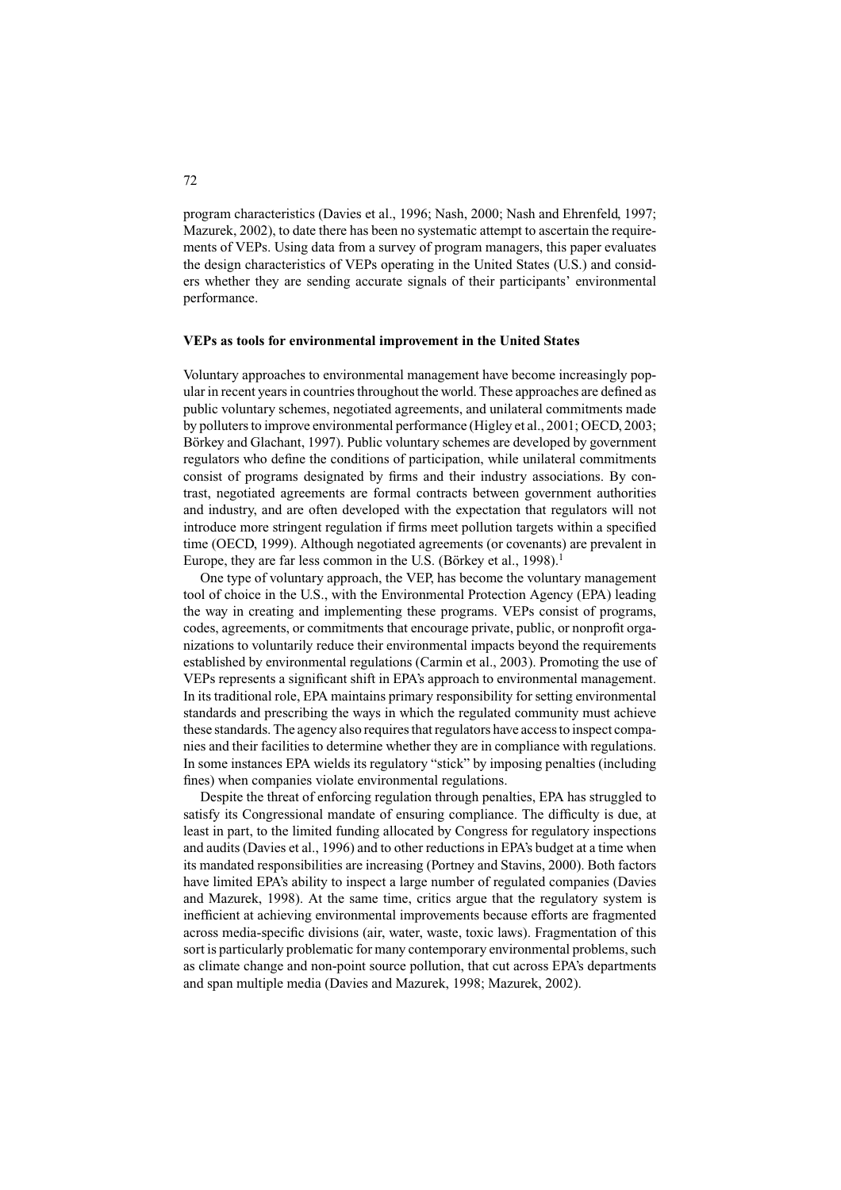program characteristics (Davies et al., 1996; Nash, 2000; Nash and Ehrenfeld, 1997; Mazurek, 2002), to date there has been no systematic attempt to ascertain the requirements of VEPs. Using data from a survey of program managers, this paper evaluates the design characteristics of VEPs operating in the United States (U.S.) and considers whether they are sending accurate signals of their participants' environmental performance.

#### **VEPs as tools for environmental improvement in the United States**

Voluntary approaches to environmental management have become increasingly popular in recent years in countries throughout the world. These approaches are defined as public voluntary schemes, negotiated agreements, and unilateral commitments made by polluters to improve environmental performance (Higley et al., 2001; OECD, 2003; Börkey and Glachant, 1997). Public voluntary schemes are developed by government regulators who define the conditions of participation, while unilateral commitments consist of programs designated by firms and their industry associations. By contrast, negotiated agreements are formal contracts between government authorities and industry, and are often developed with the expectation that regulators will not introduce more stringent regulation if firms meet pollution targets within a specified time (OECD, 1999). Although negotiated agreements (or covenants) are prevalent in Europe, they are far less common in the U.S. (Börkey et al., 1998).<sup>1</sup>

One type of voluntary approach, the VEP, has become the voluntary management tool of choice in the U.S., with the Environmental Protection Agency (EPA) leading the way in creating and implementing these programs. VEPs consist of programs, codes, agreements, or commitments that encourage private, public, or nonprofit organizations to voluntarily reduce their environmental impacts beyond the requirements established by environmental regulations (Carmin et al., 2003). Promoting the use of VEPs represents a significant shift in EPA's approach to environmental management. In its traditional role, EPA maintains primary responsibility for setting environmental standards and prescribing the ways in which the regulated community must achieve these standards. The agency also requires that regulators have access to inspect companies and their facilities to determine whether they are in compliance with regulations. In some instances EPA wields its regulatory "stick" by imposing penalties (including fines) when companies violate environmental regulations.

Despite the threat of enforcing regulation through penalties, EPA has struggled to satisfy its Congressional mandate of ensuring compliance. The difficulty is due, at least in part, to the limited funding allocated by Congress for regulatory inspections and audits (Davies et al., 1996) and to other reductions in EPA's budget at a time when its mandated responsibilities are increasing (Portney and Stavins, 2000). Both factors have limited EPA's ability to inspect a large number of regulated companies (Davies and Mazurek, 1998). At the same time, critics argue that the regulatory system is inefficient at achieving environmental improvements because efforts are fragmented across media-specific divisions (air, water, waste, toxic laws). Fragmentation of this sort is particularly problematic for many contemporary environmental problems, such as climate change and non-point source pollution, that cut across EPA's departments and span multiple media (Davies and Mazurek, 1998; Mazurek, 2002).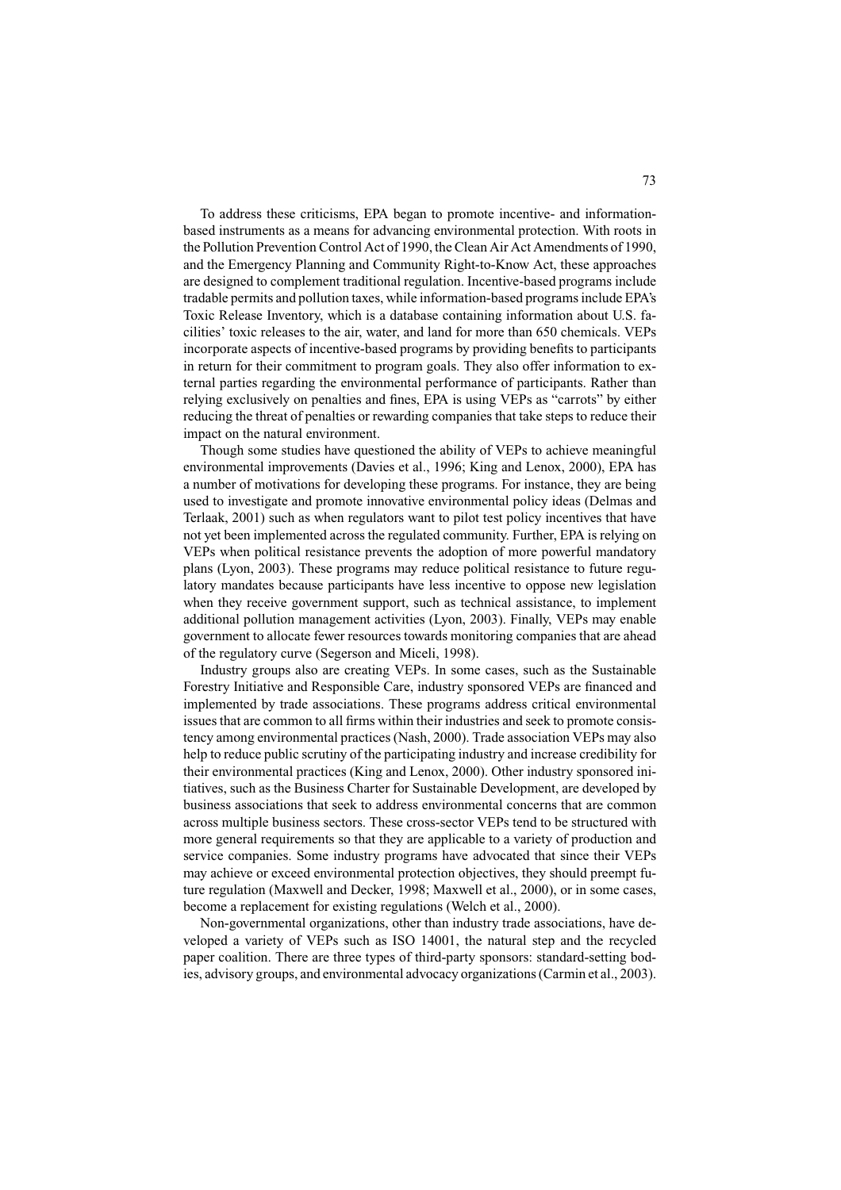To address these criticisms, EPA began to promote incentive- and informationbased instruments as a means for advancing environmental protection. With roots in the Pollution Prevention Control Act of 1990, the Clean Air Act Amendments of 1990, and the Emergency Planning and Community Right-to-Know Act, these approaches are designed to complement traditional regulation. Incentive-based programs include tradable permits and pollution taxes, while information-based programs include EPA's Toxic Release Inventory, which is a database containing information about U.S. facilities' toxic releases to the air, water, and land for more than 650 chemicals. VEPs incorporate aspects of incentive-based programs by providing benefits to participants in return for their commitment to program goals. They also offer information to external parties regarding the environmental performance of participants. Rather than relying exclusively on penalties and fines, EPA is using VEPs as "carrots" by either reducing the threat of penalties or rewarding companies that take steps to reduce their impact on the natural environment.

Though some studies have questioned the ability of VEPs to achieve meaningful environmental improvements (Davies et al., 1996; King and Lenox, 2000), EPA has a number of motivations for developing these programs. For instance, they are being used to investigate and promote innovative environmental policy ideas (Delmas and Terlaak, 2001) such as when regulators want to pilot test policy incentives that have not yet been implemented across the regulated community. Further, EPA is relying on VEPs when political resistance prevents the adoption of more powerful mandatory plans (Lyon, 2003). These programs may reduce political resistance to future regulatory mandates because participants have less incentive to oppose new legislation when they receive government support, such as technical assistance, to implement additional pollution management activities (Lyon, 2003). Finally, VEPs may enable government to allocate fewer resources towards monitoring companies that are ahead of the regulatory curve (Segerson and Miceli, 1998).

Industry groups also are creating VEPs. In some cases, such as the Sustainable Forestry Initiative and Responsible Care, industry sponsored VEPs are financed and implemented by trade associations. These programs address critical environmental issues that are common to all firms within their industries and seek to promote consistency among environmental practices (Nash, 2000). Trade association VEPs may also help to reduce public scrutiny of the participating industry and increase credibility for their environmental practices (King and Lenox, 2000). Other industry sponsored initiatives, such as the Business Charter for Sustainable Development, are developed by business associations that seek to address environmental concerns that are common across multiple business sectors. These cross-sector VEPs tend to be structured with more general requirements so that they are applicable to a variety of production and service companies. Some industry programs have advocated that since their VEPs may achieve or exceed environmental protection objectives, they should preempt future regulation (Maxwell and Decker, 1998; Maxwell et al., 2000), or in some cases, become a replacement for existing regulations (Welch et al., 2000).

Non-governmental organizations, other than industry trade associations, have developed a variety of VEPs such as ISO 14001, the natural step and the recycled paper coalition. There are three types of third-party sponsors: standard-setting bodies, advisory groups, and environmental advocacy organizations (Carmin et al., 2003).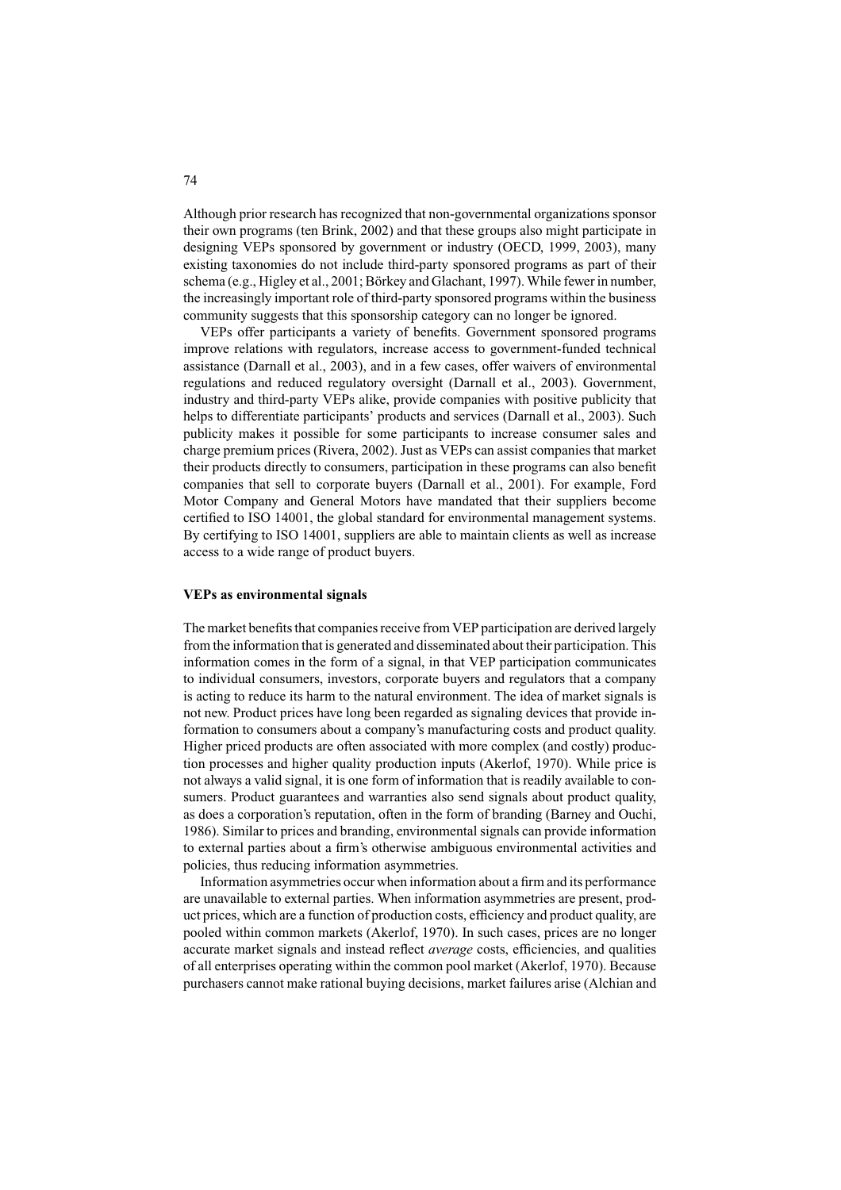Although prior research has recognized that non-governmental organizations sponsor their own programs (ten Brink, 2002) and that these groups also might participate in designing VEPs sponsored by government or industry (OECD, 1999, 2003), many existing taxonomies do not include third-party sponsored programs as part of their schema (e.g., Higley et al., 2001; Börkey and Glachant, 1997). While fewer in number, the increasingly important role of third-party sponsored programs within the business community suggests that this sponsorship category can no longer be ignored.

VEPs offer participants a variety of benefits. Government sponsored programs improve relations with regulators, increase access to government-funded technical assistance (Darnall et al., 2003), and in a few cases, offer waivers of environmental regulations and reduced regulatory oversight (Darnall et al., 2003). Government, industry and third-party VEPs alike, provide companies with positive publicity that helps to differentiate participants' products and services (Darnall et al., 2003). Such publicity makes it possible for some participants to increase consumer sales and charge premium prices (Rivera, 2002). Just as VEPs can assist companies that market their products directly to consumers, participation in these programs can also benefit companies that sell to corporate buyers (Darnall et al., 2001). For example, Ford Motor Company and General Motors have mandated that their suppliers become certified to ISO 14001, the global standard for environmental management systems. By certifying to ISO 14001, suppliers are able to maintain clients as well as increase access to a wide range of product buyers.

#### **VEPs as environmental signals**

The market benefits that companies receive from VEP participation are derived largely from the information that is generated and disseminated about their participation. This information comes in the form of a signal, in that VEP participation communicates to individual consumers, investors, corporate buyers and regulators that a company is acting to reduce its harm to the natural environment. The idea of market signals is not new. Product prices have long been regarded as signaling devices that provide information to consumers about a company's manufacturing costs and product quality. Higher priced products are often associated with more complex (and costly) production processes and higher quality production inputs (Akerlof, 1970). While price is not always a valid signal, it is one form of information that is readily available to consumers. Product guarantees and warranties also send signals about product quality, as does a corporation's reputation, often in the form of branding (Barney and Ouchi, 1986). Similar to prices and branding, environmental signals can provide information to external parties about a firm's otherwise ambiguous environmental activities and policies, thus reducing information asymmetries.

Information asymmetries occur when information about a firm and its performance are unavailable to external parties. When information asymmetries are present, product prices, which are a function of production costs, efficiency and product quality, are pooled within common markets (Akerlof, 1970). In such cases, prices are no longer accurate market signals and instead reflect *average* costs, efficiencies, and qualities of all enterprises operating within the common pool market (Akerlof, 1970). Because purchasers cannot make rational buying decisions, market failures arise (Alchian and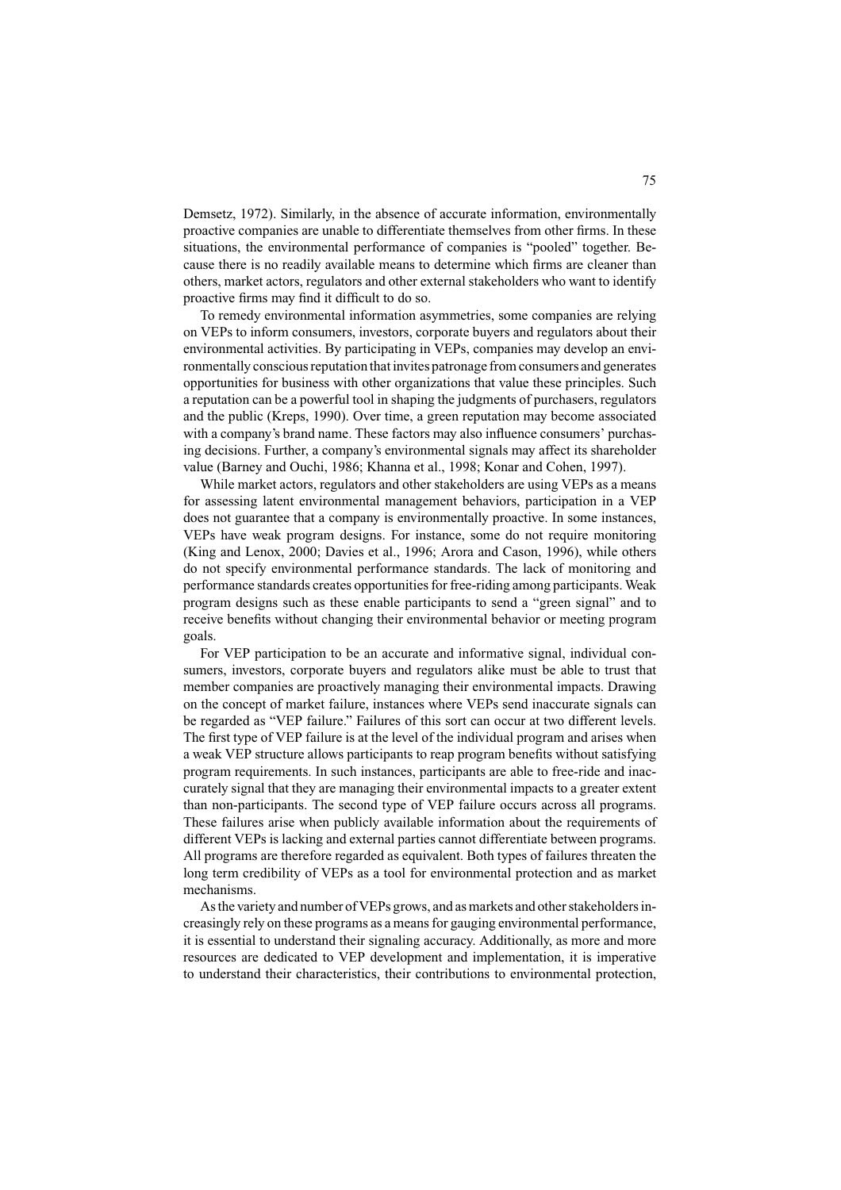Demsetz, 1972). Similarly, in the absence of accurate information, environmentally proactive companies are unable to differentiate themselves from other firms. In these situations, the environmental performance of companies is "pooled" together. Because there is no readily available means to determine which firms are cleaner than others, market actors, regulators and other external stakeholders who want to identify proactive firms may find it difficult to do so.

To remedy environmental information asymmetries, some companies are relying on VEPs to inform consumers, investors, corporate buyers and regulators about their environmental activities. By participating in VEPs, companies may develop an environmentally conscious reputation that invites patronage from consumers and generates opportunities for business with other organizations that value these principles. Such a reputation can be a powerful tool in shaping the judgments of purchasers, regulators and the public (Kreps, 1990). Over time, a green reputation may become associated with a company's brand name. These factors may also influence consumers' purchasing decisions. Further, a company's environmental signals may affect its shareholder value (Barney and Ouchi, 1986; Khanna et al., 1998; Konar and Cohen, 1997).

While market actors, regulators and other stakeholders are using VEPs as a means for assessing latent environmental management behaviors, participation in a VEP does not guarantee that a company is environmentally proactive. In some instances, VEPs have weak program designs. For instance, some do not require monitoring (King and Lenox, 2000; Davies et al., 1996; Arora and Cason, 1996), while others do not specify environmental performance standards. The lack of monitoring and performance standards creates opportunities for free-riding among participants. Weak program designs such as these enable participants to send a "green signal" and to receive benefits without changing their environmental behavior or meeting program goals.

For VEP participation to be an accurate and informative signal, individual consumers, investors, corporate buyers and regulators alike must be able to trust that member companies are proactively managing their environmental impacts. Drawing on the concept of market failure, instances where VEPs send inaccurate signals can be regarded as "VEP failure." Failures of this sort can occur at two different levels. The first type of VEP failure is at the level of the individual program and arises when a weak VEP structure allows participants to reap program benefits without satisfying program requirements. In such instances, participants are able to free-ride and inaccurately signal that they are managing their environmental impacts to a greater extent than non-participants. The second type of VEP failure occurs across all programs. These failures arise when publicly available information about the requirements of different VEPs is lacking and external parties cannot differentiate between programs. All programs are therefore regarded as equivalent. Both types of failures threaten the long term credibility of VEPs as a tool for environmental protection and as market mechanisms.

As the variety and number of VEPs grows, and as markets and other stakeholders increasingly rely on these programs as a means for gauging environmental performance, it is essential to understand their signaling accuracy. Additionally, as more and more resources are dedicated to VEP development and implementation, it is imperative to understand their characteristics, their contributions to environmental protection,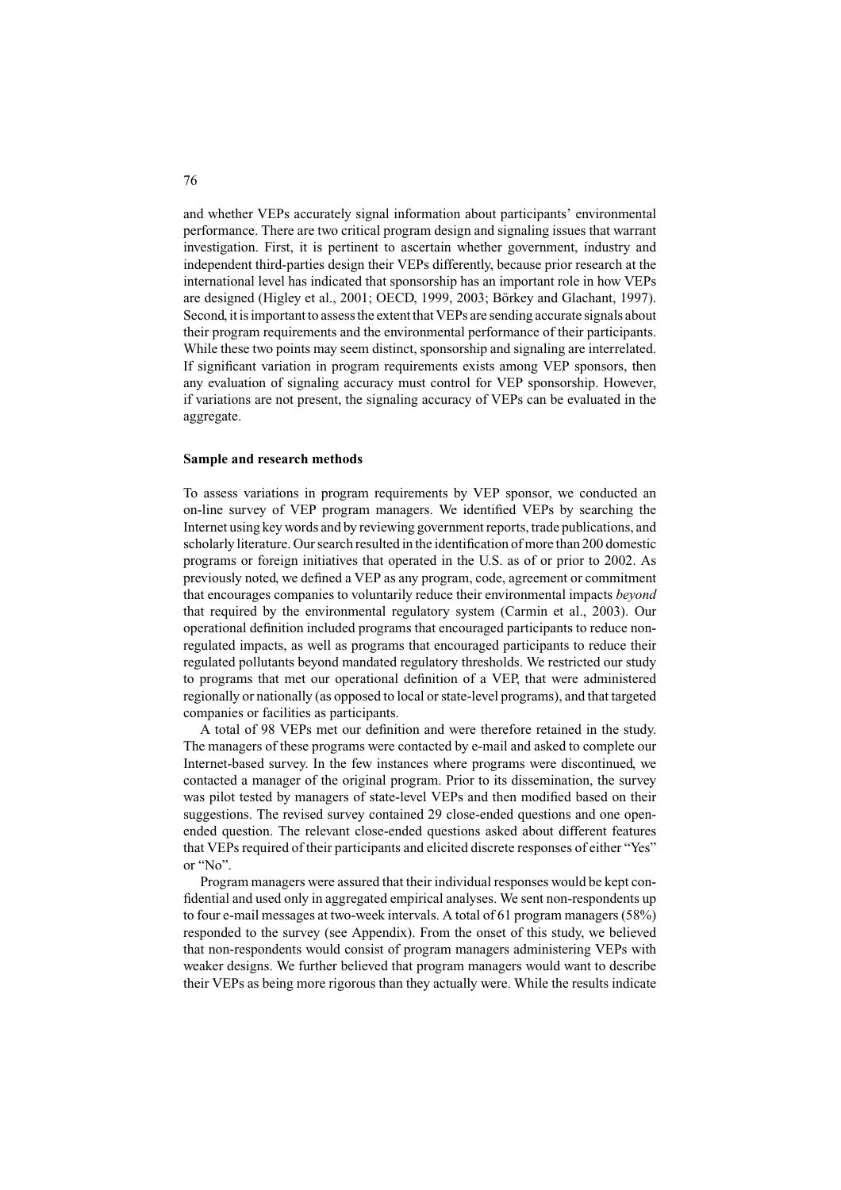and whether VEPs accurately signal information about participants' environmental performance. There are two critical program design and signaling issues that warrant investigation. First, it is pertinent to ascertain whether government, industry and independent third-parties design their VEPs differently, because prior research at the international level has indicated that sponsorship has an important role in how VEPs are designed (Higley et al., 2001; OECD, 1999, 2003; Börkey and Glachant, 1997). Second, it is important to assess the extent that VEPs are sending accurate signals about their program requirements and the environmental performance of their participants. While these two points may seem distinct, sponsorship and signaling are interrelated. If significant variation in program requirements exists among VEP sponsors, then any evaluation of signaling accuracy must control for VEP sponsorship. However, if variations are not present, the signaling accuracy of VEPs can be evaluated in the aggregate.

#### **Sample and research methods**

To assess variations in program requirements by VEP sponsor, we conducted an on-line survey of VEP program managers. We identified VEPs by searching the Internet using key words and by reviewing government reports, trade publications, and scholarly literature. Our search resulted in the identification of more than 200 domestic programs or foreign initiatives that operated in the U.S. as of or prior to 2002. As previously noted, we defined a VEP as any program, code, agreement or commitment that encourages companies to voluntarily reduce their environmental impacts *beyond* that required by the environmental regulatory system (Carmin et al., 2003). Our operational definition included programs that encouraged participants to reduce nonregulated impacts, as well as programs that encouraged participants to reduce their regulated pollutants beyond mandated regulatory thresholds. We restricted our study to programs that met our operational definition of a VEP, that were administered regionally or nationally (as opposed to local or state-level programs), and that targeted companies or facilities as participants.

A total of 98 VEPs met our definition and were therefore retained in the study. The managers of these programs were contacted by e-mail and asked to complete our Internet-based survey. In the few instances where programs were discontinued, we contacted a manager of the original program. Prior to its dissemination, the survey was pilot tested by managers of state-level VEPs and then modified based on their suggestions. The revised survey contained 29 close-ended questions and one openended question. The relevant close-ended questions asked about different features that VEPs required of their participants and elicited discrete responses of either "Yes" or "No".

Program managers were assured that their individual responses would be kept confidential and used only in aggregated empirical analyses. We sent non-respondents up to four e-mail messages at two-week intervals. A total of 61 program managers (58%) responded to the survey (see Appendix). From the onset of this study, we believed that non-respondents would consist of program managers administering VEPs with weaker designs. We further believed that program managers would want to describe their VEPs as being more rigorous than they actually were. While the results indicate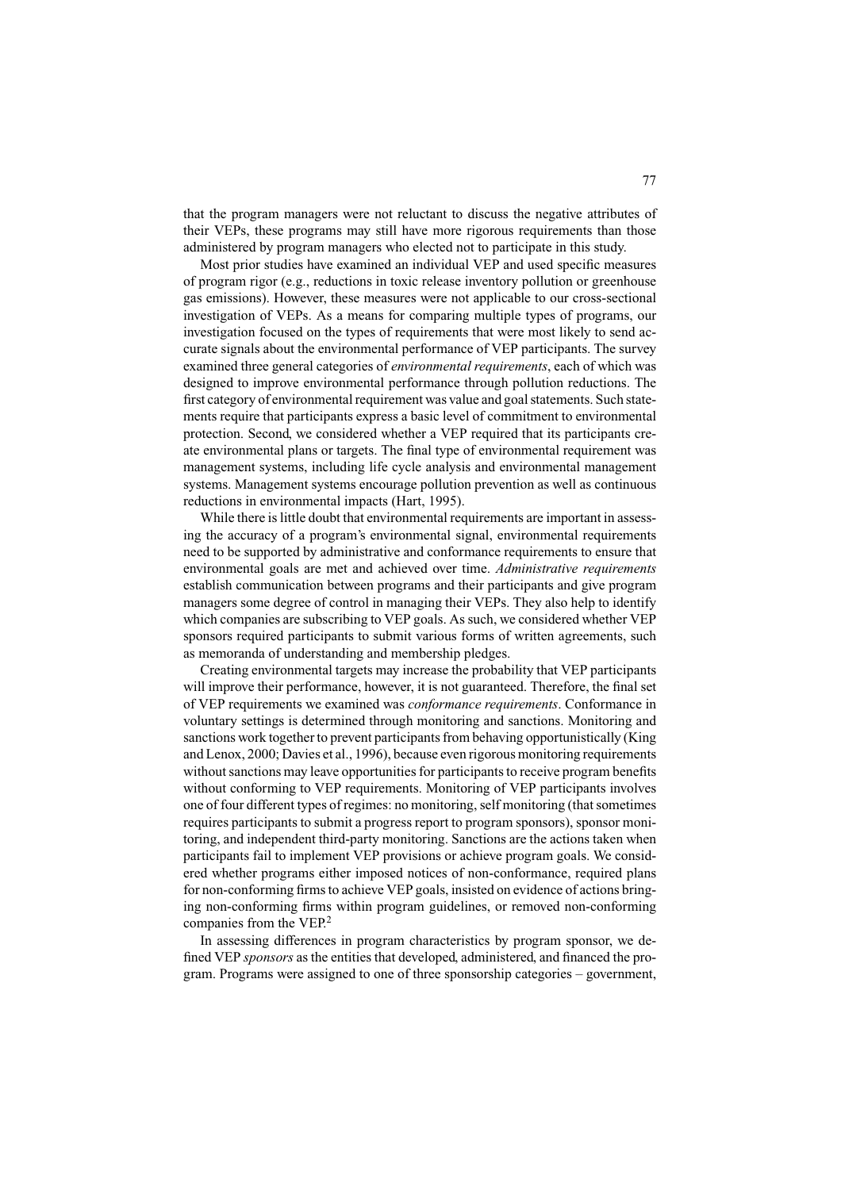that the program managers were not reluctant to discuss the negative attributes of their VEPs, these programs may still have more rigorous requirements than those administered by program managers who elected not to participate in this study.

Most prior studies have examined an individual VEP and used specific measures of program rigor (e.g., reductions in toxic release inventory pollution or greenhouse gas emissions). However, these measures were not applicable to our cross-sectional investigation of VEPs. As a means for comparing multiple types of programs, our investigation focused on the types of requirements that were most likely to send accurate signals about the environmental performance of VEP participants. The survey examined three general categories of *environmental requirements*, each of which was designed to improve environmental performance through pollution reductions. The first category of environmental requirement was value and goal statements. Such statements require that participants express a basic level of commitment to environmental protection. Second, we considered whether a VEP required that its participants create environmental plans or targets. The final type of environmental requirement was management systems, including life cycle analysis and environmental management systems. Management systems encourage pollution prevention as well as continuous reductions in environmental impacts (Hart, 1995).

While there is little doubt that environmental requirements are important in assessing the accuracy of a program's environmental signal, environmental requirements need to be supported by administrative and conformance requirements to ensure that environmental goals are met and achieved over time. *Administrative requirements* establish communication between programs and their participants and give program managers some degree of control in managing their VEPs. They also help to identify which companies are subscribing to VEP goals. As such, we considered whether VEP sponsors required participants to submit various forms of written agreements, such as memoranda of understanding and membership pledges.

Creating environmental targets may increase the probability that VEP participants will improve their performance, however, it is not guaranteed. Therefore, the final set of VEP requirements we examined was *conformance requirements*. Conformance in voluntary settings is determined through monitoring and sanctions. Monitoring and sanctions work together to prevent participants from behaving opportunistically (King and Lenox, 2000; Davies et al., 1996), because even rigorous monitoring requirements without sanctions may leave opportunities for participants to receive program benefits without conforming to VEP requirements. Monitoring of VEP participants involves one of four different types of regimes: no monitoring, self monitoring (that sometimes requires participants to submit a progress report to program sponsors), sponsor monitoring, and independent third-party monitoring. Sanctions are the actions taken when participants fail to implement VEP provisions or achieve program goals. We considered whether programs either imposed notices of non-conformance, required plans for non-conforming firms to achieve VEP goals, insisted on evidence of actions bringing non-conforming firms within program guidelines, or removed non-conforming companies from the VEP.<sup>2</sup>

In assessing differences in program characteristics by program sponsor, we defined VEP *sponsors* as the entities that developed, administered, and financed the program. Programs were assigned to one of three sponsorship categories – government,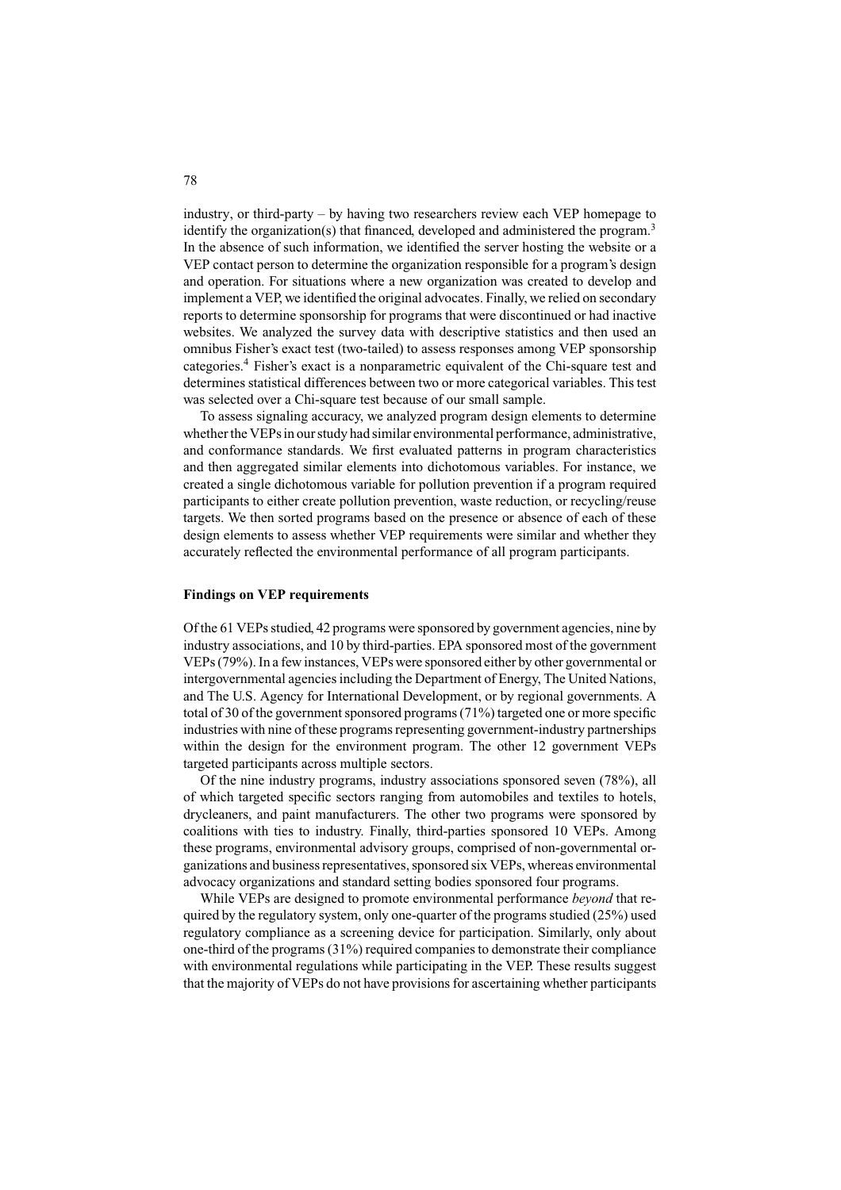industry, or third-party – by having two researchers review each VEP homepage to identify the organization(s) that financed, developed and administered the program.<sup>3</sup> In the absence of such information, we identified the server hosting the website or a VEP contact person to determine the organization responsible for a program's design and operation. For situations where a new organization was created to develop and implement a VEP, we identified the original advocates. Finally, we relied on secondary reports to determine sponsorship for programs that were discontinued or had inactive websites. We analyzed the survey data with descriptive statistics and then used an omnibus Fisher's exact test (two-tailed) to assess responses among VEP sponsorship categories.<sup>4</sup> Fisher's exact is a nonparametric equivalent of the Chi-square test and determines statistical differences between two or more categorical variables. This test was selected over a Chi-square test because of our small sample.

To assess signaling accuracy, we analyzed program design elements to determine whether the VEPs in our study had similar environmental performance, administrative, and conformance standards. We first evaluated patterns in program characteristics and then aggregated similar elements into dichotomous variables. For instance, we created a single dichotomous variable for pollution prevention if a program required participants to either create pollution prevention, waste reduction, or recycling/reuse targets. We then sorted programs based on the presence or absence of each of these design elements to assess whether VEP requirements were similar and whether they accurately reflected the environmental performance of all program participants.

#### **Findings on VEP requirements**

Of the 61 VEPs studied, 42 programs were sponsored by government agencies, nine by industry associations, and 10 by third-parties. EPA sponsored most of the government VEPs (79%). In a few instances, VEPs were sponsored either by other governmental or intergovernmental agencies including the Department of Energy, The United Nations, and The U.S. Agency for International Development, or by regional governments. A total of 30 of the government sponsored programs (71%) targeted one or more specific industries with nine of these programs representing government-industry partnerships within the design for the environment program. The other 12 government VEPs targeted participants across multiple sectors.

Of the nine industry programs, industry associations sponsored seven (78%), all of which targeted specific sectors ranging from automobiles and textiles to hotels, drycleaners, and paint manufacturers. The other two programs were sponsored by coalitions with ties to industry. Finally, third-parties sponsored 10 VEPs. Among these programs, environmental advisory groups, comprised of non-governmental organizations and business representatives, sponsored six VEPs, whereas environmental advocacy organizations and standard setting bodies sponsored four programs.

While VEPs are designed to promote environmental performance *beyond* that required by the regulatory system, only one-quarter of the programs studied  $(25%)$  used regulatory compliance as a screening device for participation. Similarly, only about one-third of the programs (31%) required companies to demonstrate their compliance with environmental regulations while participating in the VEP. These results suggest that the majority of VEPs do not have provisions for ascertaining whether participants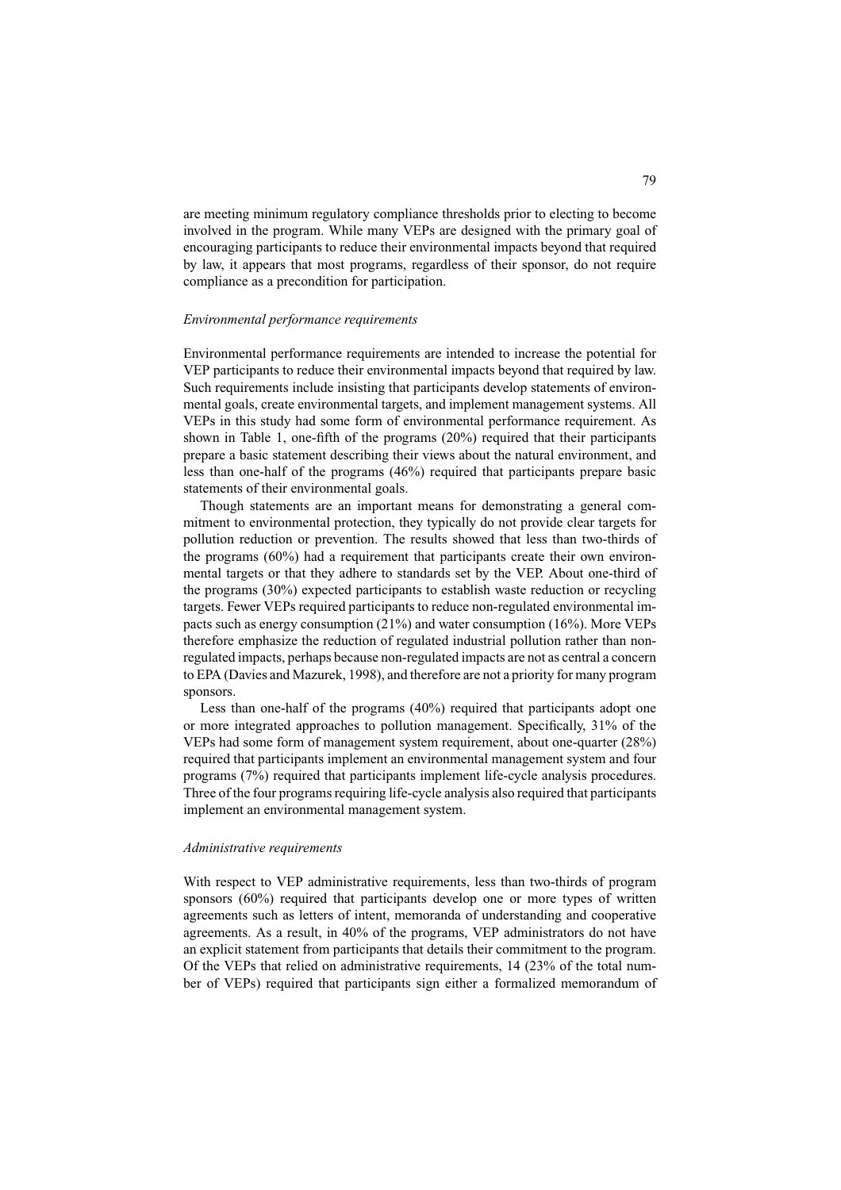are meeting minimum regulatory compliance thresholds prior to electing to become involved in the program. While many VEPs are designed with the primary goal of encouraging participants to reduce their environmental impacts beyond that required by law, it appears that most programs, regardless of their sponsor, do not require compliance as a precondition for participation.

#### *Environmental performance requirements*

Environmental performance requirements are intended to increase the potential for VEP participants to reduce their environmental impacts beyond that required by law. Such requirements include insisting that participants develop statements of environmental goals, create environmental targets, and implement management systems. All VEPs in this study had some form of environmental performance requirement. As shown in Table 1, one-fifth of the programs (20%) required that their participants prepare a basic statement describing their views about the natural environment, and less than one-half of the programs (46%) required that participants prepare basic statements of their environmental goals.

Though statements are an important means for demonstrating a general commitment to environmental protection, they typically do not provide clear targets for pollution reduction or prevention. The results showed that less than two-thirds of the programs (60%) had a requirement that participants create their own environmental targets or that they adhere to standards set by the VEP. About one-third of the programs (30%) expected participants to establish waste reduction or recycling targets. Fewer VEPs required participants to reduce non-regulated environmental impacts such as energy consumption (21%) and water consumption (16%). More VEPs therefore emphasize the reduction of regulated industrial pollution rather than nonregulated impacts, perhaps because non-regulated impacts are not as central a concern to EPA (Davies and Mazurek, 1998), and therefore are not a priority for many program sponsors.

Less than one-half of the programs (40%) required that participants adopt one or more integrated approaches to pollution management. Specifically, 31% of the VEPs had some form of management system requirement, about one-quarter (28%) required that participants implement an environmental management system and four programs (7%) required that participants implement life-cycle analysis procedures. Three of the four programs requiring life-cycle analysis also required that participants implement an environmental management system.

#### *Administrative requirements*

With respect to VEP administrative requirements, less than two-thirds of program sponsors (60%) required that participants develop one or more types of written agreements such as letters of intent, memoranda of understanding and cooperative agreements. As a result, in 40% of the programs, VEP administrators do not have an explicit statement from participants that details their commitment to the program. Of the VEPs that relied on administrative requirements, 14 (23% of the total number of VEPs) required that participants sign either a formalized memorandum of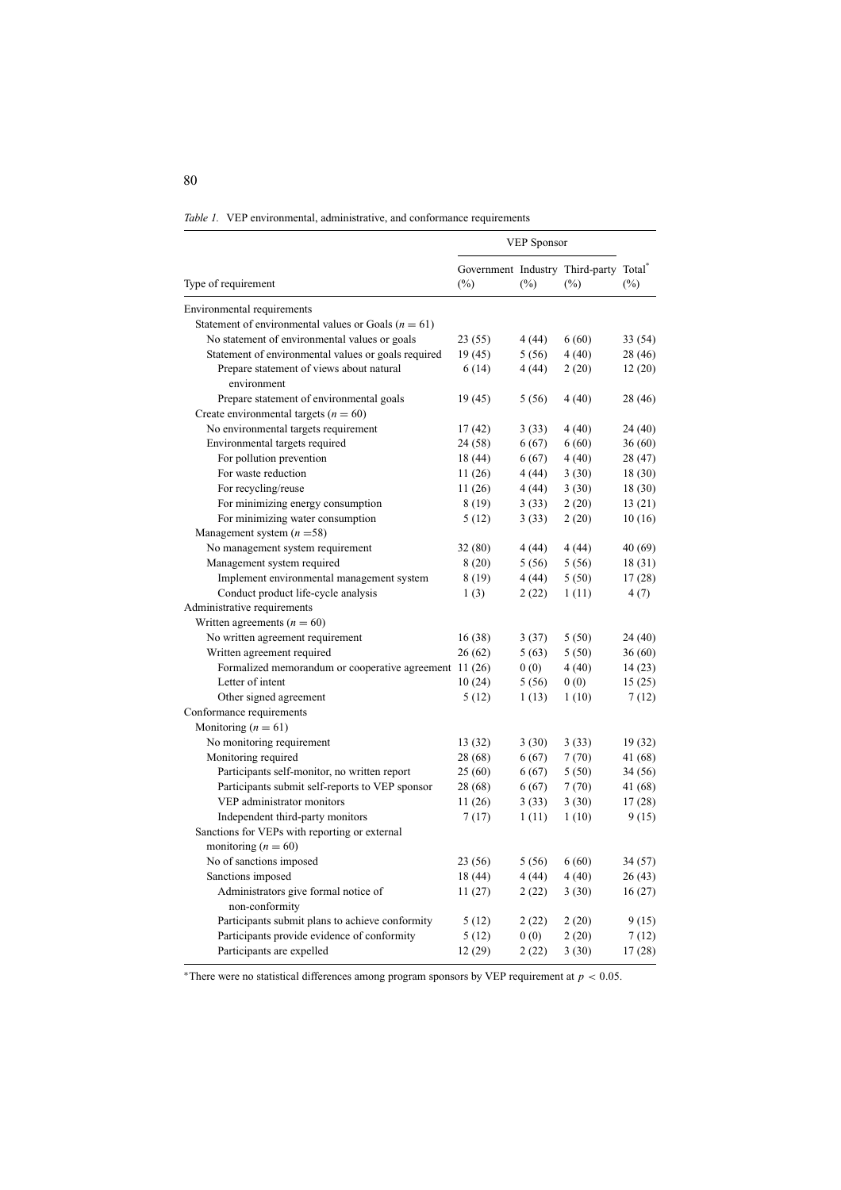*Table 1.* VEP environmental, administrative, and conformance requirements

|                                                         | VEP Sponsor                                     |        |        |         |
|---------------------------------------------------------|-------------------------------------------------|--------|--------|---------|
| Type of requirement                                     | Government Industry Third-party Total<br>$(\%)$ | $(\%)$ | $(\%)$ | $(\%)$  |
| Environmental requirements                              |                                                 |        |        |         |
| Statement of environmental values or Goals ( $n = 61$ ) |                                                 |        |        |         |
| No statement of environmental values or goals           | 23 (55)                                         | 4 (44) | 6(60)  | 33 (54) |
| Statement of environmental values or goals required     | 19(45)                                          | 5(56)  | 4(40)  | 28 (46) |
| Prepare statement of views about natural<br>environment | 6(14)                                           | 4 (44) | 2(20)  | 12(20)  |
| Prepare statement of environmental goals                | 19(45)                                          | 5(56)  | 4(40)  | 28 (46) |
| Create environmental targets ( $n = 60$ )               |                                                 |        |        |         |
| No environmental targets requirement                    | 17(42)                                          | 3(33)  | 4(40)  | 24 (40) |
| Environmental targets required                          | 24 (58)                                         | 6(67)  | 6(60)  | 36 (60) |
| For pollution prevention                                | 18 (44)                                         | 6(67)  | 4(40)  | 28 (47) |
| For waste reduction                                     | 11 (26)                                         | 4 (44) | 3(30)  | 18(30)  |
| For recycling/reuse                                     | 11(26)                                          | 4(44)  | 3(30)  | 18(30)  |
| For minimizing energy consumption                       | 8 (19)                                          | 3(33)  | 2(20)  | 13 (21) |
| For minimizing water consumption                        | 5(12)                                           | 3(33)  | 2(20)  | 10(16)  |
| Management system $(n = 58)$                            |                                                 |        |        |         |
| No management system requirement                        | 32 (80)                                         | 4 (44) | 4(44)  | 40 (69) |
| Management system required                              | 8(20)                                           | 5(56)  | 5(56)  | 18(31)  |
| Implement environmental management system               | 8 (19)                                          | 4 (44) | 5(50)  | 17(28)  |
| Conduct product life-cycle analysis                     | 1(3)                                            | 2(22)  | 1(11)  | 4(7)    |
| Administrative requirements                             |                                                 |        |        |         |
| Written agreements ( $n = 60$ )                         |                                                 |        |        |         |
| No written agreement requirement                        | 16(38)                                          | 3(37)  | 5(50)  | 24 (40) |
| Written agreement required                              | 26 (62)                                         | 5(63)  | 5(50)  | 36 (60) |
| Formalized memorandum or cooperative agreement 11 (26)  |                                                 | 0(0)   | 4(40)  | 14(23)  |
| Letter of intent                                        | 10(24)                                          | 5(56)  | 0(0)   | 15(25)  |
| Other signed agreement                                  | 5(12)                                           | 1(13)  | 1(10)  | 7(12)   |
| Conformance requirements                                |                                                 |        |        |         |
| Monitoring $(n = 61)$                                   |                                                 |        |        |         |
| No monitoring requirement                               | 13(32)                                          | 3(30)  | 3(33)  | 19(32)  |
| Monitoring required                                     | 28 (68)                                         | 6(67)  | 7(70)  | 41 (68) |
| Participants self-monitor, no written report            | 25(60)                                          | 6(67)  | 5(50)  | 34 (56) |
| Participants submit self-reports to VEP sponsor         | 28 (68)                                         | 6(67)  | 7(70)  | 41 (68) |
| VEP administrator monitors                              | 11 (26)                                         | 3(33)  | 3(30)  | 17(28)  |
| Independent third-party monitors                        | 7(17)                                           | 1(11)  | 1(10)  | 9(15)   |
| Sanctions for VEPs with reporting or external           |                                                 |        |        |         |
| monitoring ( $n = 60$ )                                 |                                                 |        |        |         |
| No of sanctions imposed                                 | 23 (56)                                         | 5(56)  | 6(60)  | 34 (57) |
| Sanctions imposed                                       | 18 (44)                                         | 4 (44) | 4(40)  | 26 (43) |
| Administrators give formal notice of                    | 11(27)                                          | 2(22)  | 3(30)  | 16(27)  |
| non-conformity                                          |                                                 |        |        |         |
| Participants submit plans to achieve conformity         | 5(12)                                           | 2(22)  | 2(20)  | 9(15)   |
| Participants provide evidence of conformity             | 5(12)                                           | 0(0)   | 2(20)  | 7(12)   |
| Participants are expelled                               | 12(29)                                          | 2(22)  | 3(30)  | 17(28)  |

<sup>∗</sup>There were no statistical differences among program sponsors by VEP requirement at *p* < 0.05.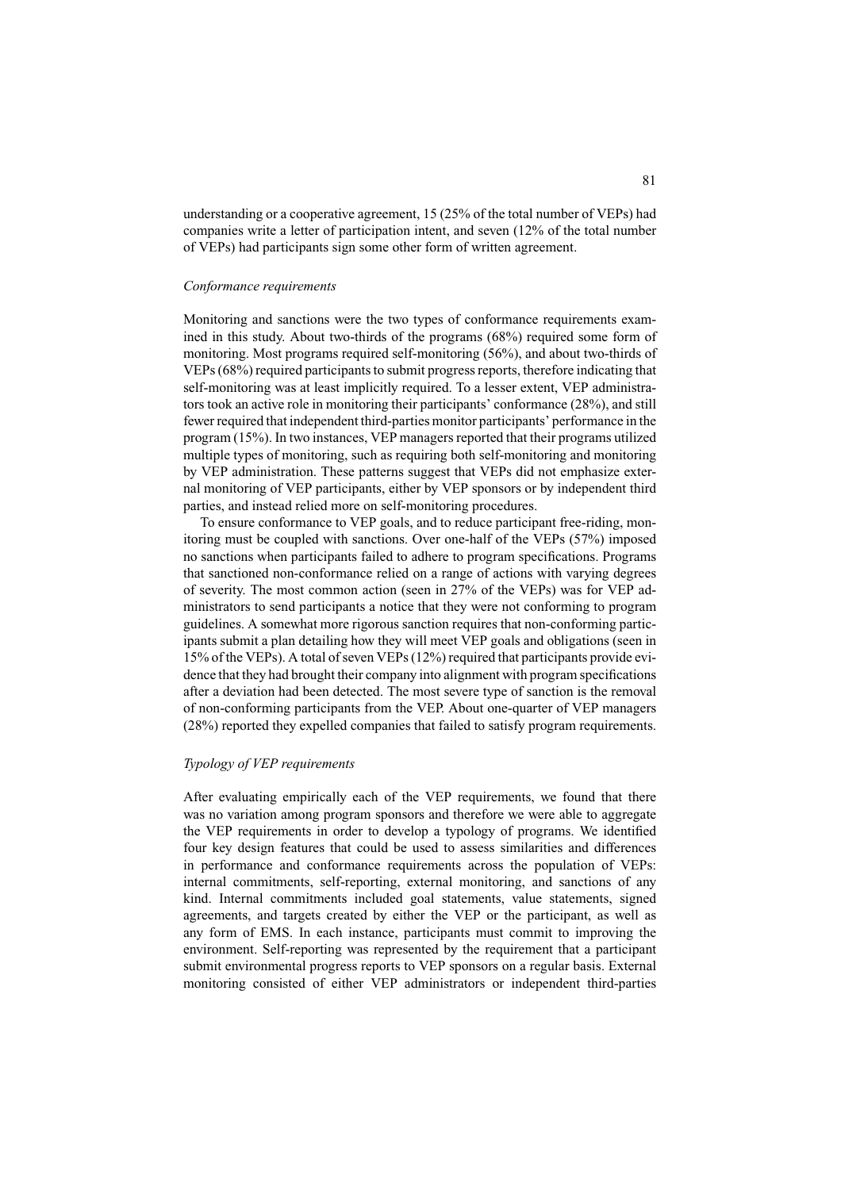understanding or a cooperative agreement, 15 (25% of the total number of VEPs) had companies write a letter of participation intent, and seven (12% of the total number of VEPs) had participants sign some other form of written agreement.

#### *Conformance requirements*

Monitoring and sanctions were the two types of conformance requirements examined in this study. About two-thirds of the programs (68%) required some form of monitoring. Most programs required self-monitoring (56%), and about two-thirds of VEPs (68%) required participants to submit progress reports, therefore indicating that self-monitoring was at least implicitly required. To a lesser extent, VEP administrators took an active role in monitoring their participants' conformance (28%), and still fewer required that independent third-parties monitor participants' performance in the program (15%). In two instances, VEP managers reported that their programs utilized multiple types of monitoring, such as requiring both self-monitoring and monitoring by VEP administration. These patterns suggest that VEPs did not emphasize external monitoring of VEP participants, either by VEP sponsors or by independent third parties, and instead relied more on self-monitoring procedures.

To ensure conformance to VEP goals, and to reduce participant free-riding, monitoring must be coupled with sanctions. Over one-half of the VEPs (57%) imposed no sanctions when participants failed to adhere to program specifications. Programs that sanctioned non-conformance relied on a range of actions with varying degrees of severity. The most common action (seen in 27% of the VEPs) was for VEP administrators to send participants a notice that they were not conforming to program guidelines. A somewhat more rigorous sanction requires that non-conforming participants submit a plan detailing how they will meet VEP goals and obligations (seen in 15% of the VEPs). A total of seven VEPs (12%) required that participants provide evidence that they had brought their company into alignment with program specifications after a deviation had been detected. The most severe type of sanction is the removal of non-conforming participants from the VEP. About one-quarter of VEP managers (28%) reported they expelled companies that failed to satisfy program requirements.

## *Typology of VEP requirements*

After evaluating empirically each of the VEP requirements, we found that there was no variation among program sponsors and therefore we were able to aggregate the VEP requirements in order to develop a typology of programs. We identified four key design features that could be used to assess similarities and differences in performance and conformance requirements across the population of VEPs: internal commitments, self-reporting, external monitoring, and sanctions of any kind. Internal commitments included goal statements, value statements, signed agreements, and targets created by either the VEP or the participant, as well as any form of EMS. In each instance, participants must commit to improving the environment. Self-reporting was represented by the requirement that a participant submit environmental progress reports to VEP sponsors on a regular basis. External monitoring consisted of either VEP administrators or independent third-parties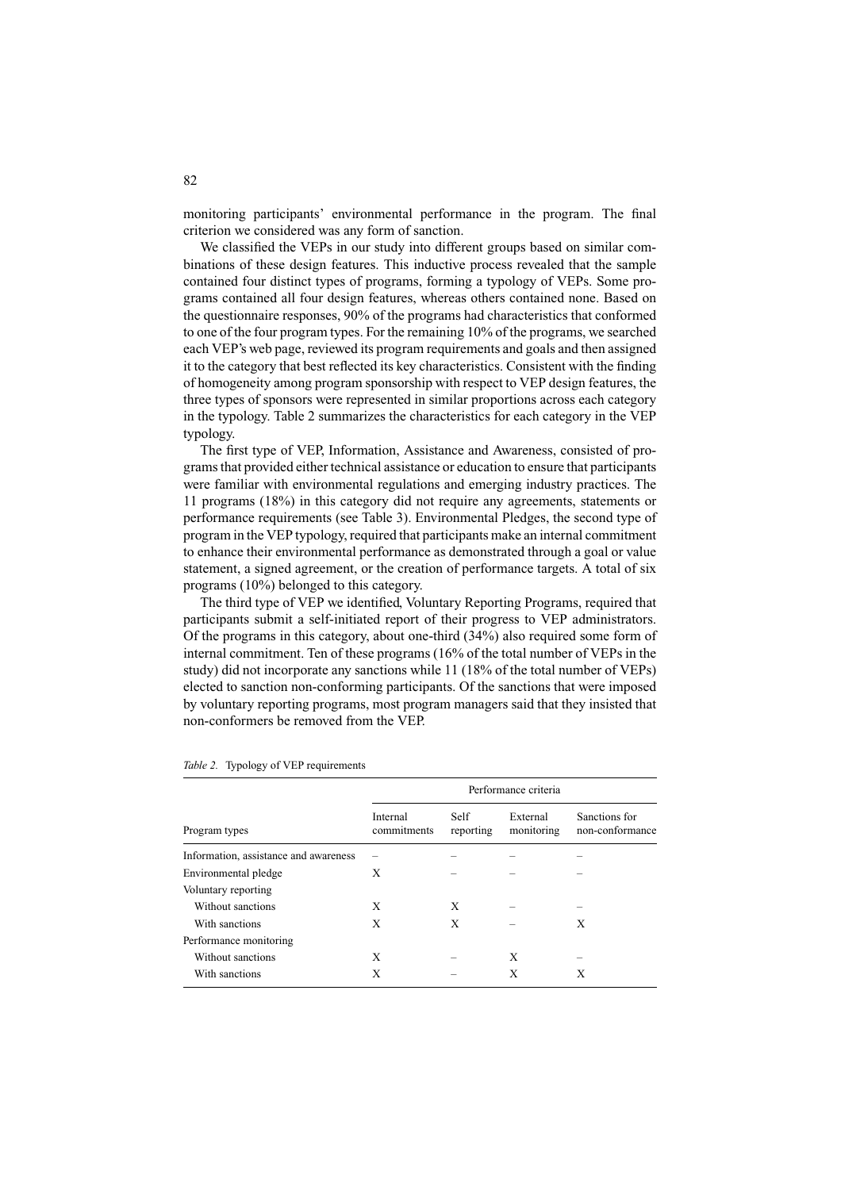monitoring participants' environmental performance in the program. The final criterion we considered was any form of sanction.

We classified the VEPs in our study into different groups based on similar combinations of these design features. This inductive process revealed that the sample contained four distinct types of programs, forming a typology of VEPs. Some programs contained all four design features, whereas others contained none. Based on the questionnaire responses, 90% of the programs had characteristics that conformed to one of the four program types. For the remaining 10% of the programs, we searched each VEP's web page, reviewed its program requirements and goals and then assigned it to the category that best reflected its key characteristics. Consistent with the finding of homogeneity among program sponsorship with respect to VEP design features, the three types of sponsors were represented in similar proportions across each category in the typology. Table 2 summarizes the characteristics for each category in the VEP typology.

The first type of VEP, Information, Assistance and Awareness, consisted of programs that provided either technical assistance or education to ensure that participants were familiar with environmental regulations and emerging industry practices. The 11 programs (18%) in this category did not require any agreements, statements or performance requirements (see Table 3). Environmental Pledges, the second type of program in the VEP typology, required that participants make an internal commitment to enhance their environmental performance as demonstrated through a goal or value statement, a signed agreement, or the creation of performance targets. A total of six programs (10%) belonged to this category.

The third type of VEP we identified, Voluntary Reporting Programs, required that participants submit a self-initiated report of their progress to VEP administrators. Of the programs in this category, about one-third (34%) also required some form of internal commitment. Ten of these programs (16% of the total number of VEPs in the study) did not incorporate any sanctions while 11 (18% of the total number of VEPs) elected to sanction non-conforming participants. Of the sanctions that were imposed by voluntary reporting programs, most program managers said that they insisted that non-conformers be removed from the VEP.

|                                       | Performance criteria    |                   |                        |                                  |
|---------------------------------------|-------------------------|-------------------|------------------------|----------------------------------|
| Program types                         | Internal<br>commitments | Self<br>reporting | External<br>monitoring | Sanctions for<br>non-conformance |
| Information, assistance and awareness | -                       |                   |                        |                                  |
| Environmental pledge                  | X                       |                   |                        |                                  |
| Voluntary reporting                   |                         |                   |                        |                                  |
| Without sanctions                     | X                       | X                 |                        |                                  |
| With sanctions                        | X                       | X                 |                        | X                                |
| Performance monitoring                |                         |                   |                        |                                  |
| Without sanctions                     | X                       |                   | X                      |                                  |
| With sanctions                        | X                       |                   | X                      | X                                |

#### *Table 2.* Typology of VEP requirements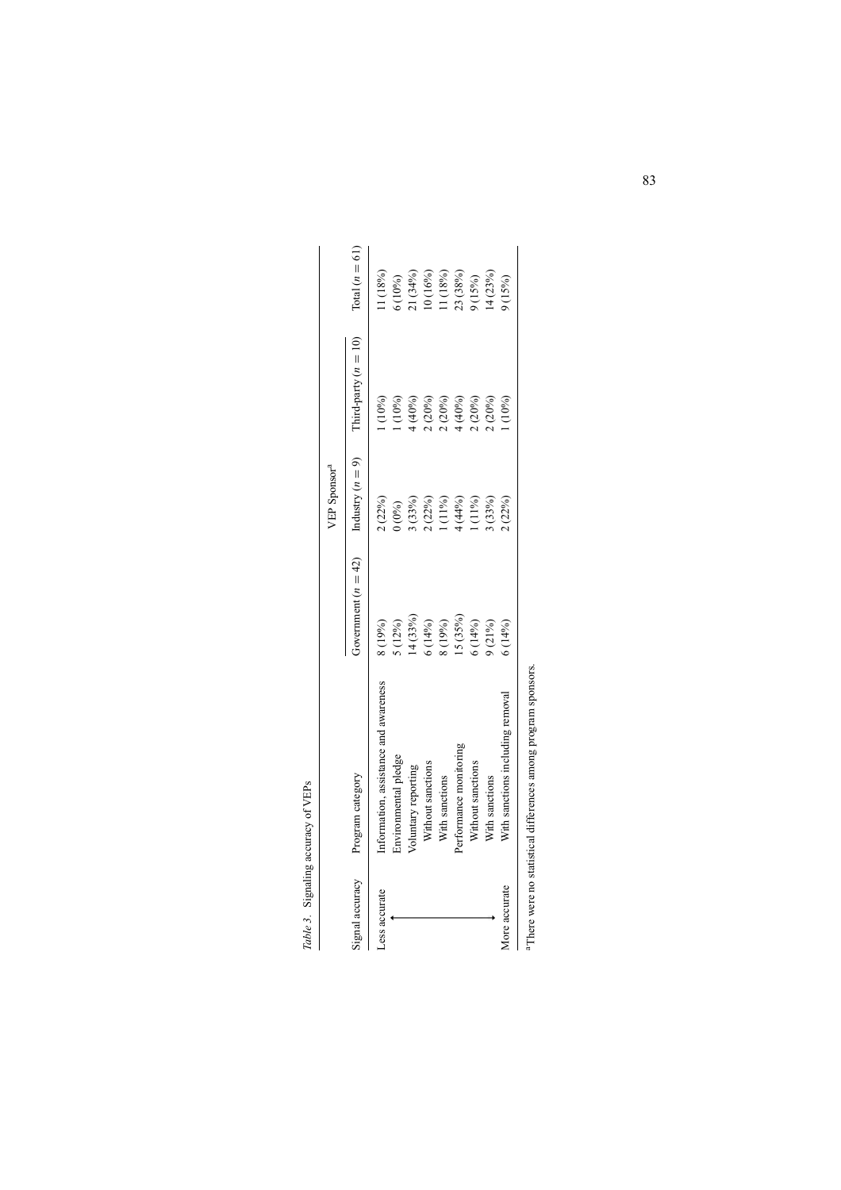|                 |                                      |                                                              | VEP Sponsor <sup>a</sup> |                        |                                                                                                                                          |
|-----------------|--------------------------------------|--------------------------------------------------------------|--------------------------|------------------------|------------------------------------------------------------------------------------------------------------------------------------------|
| Signal accuracy | Program category                     | Government $(n = 42)$                                        | Industry $(n = 9)$       | Third-party $(n = 10)$ | Total $(n = 61)$                                                                                                                         |
| Less accurate   | nformation, assistance and awareness |                                                              |                          | (10%)                  | 1 (18%)                                                                                                                                  |
|                 | invironmental pledge                 | 8 (19%)<br>5 (12%)                                           | 2 (22%)<br>0 (0%)        | (10%)                  |                                                                                                                                          |
|                 | <b>Joluntary</b> reporting           | 14(33%)                                                      |                          | (40%)                  |                                                                                                                                          |
|                 | Without sanctions                    |                                                              | 3 (33%)<br>2 (22%)       | (20%)                  |                                                                                                                                          |
|                 | With sanctions                       | $\frac{6 (14\%)}{8 (19\%)}$<br>$\frac{15 (35\%)}{15 (35\%)}$ | $(11\%)$                 | 2(20%)                 |                                                                                                                                          |
|                 | erformance monitoring                |                                                              | $+(44%)$                 | (40%)                  |                                                                                                                                          |
|                 | Without sanctions                    | 5(14%)                                                       | $(11\%)$                 | (20%)                  |                                                                                                                                          |
|                 | With sanctions                       | $(21\%)$                                                     | (33%)                    | (20%)                  | $\begin{array}{l} 5\ (10\%) \\ 21\ (34\%) \\ 10\ (16\%) \\ 11\ (18\%) \\ 11\ (18\%) \\ 23\ (38\%) \\ 9\ (15\%) \\ 9\ (15\%) \end{array}$ |
| More accurate   | With sanctions including removal     | (14%)                                                        | (22%)                    | (10%)                  | (15%)                                                                                                                                    |
|                 |                                      |                                                              |                          |                        |                                                                                                                                          |

| 5                                        |
|------------------------------------------|
| ֡֡֡֡֡֡֡<br><b>ת היווייה ה</b><br>ì<br>l, |
| ior<br>$\frac{1}{\zeta}$                 |
| ł                                        |

<sup>a</sup>There were no statistical differences among program sponsors. aThere were no statistical differences among program sponsors.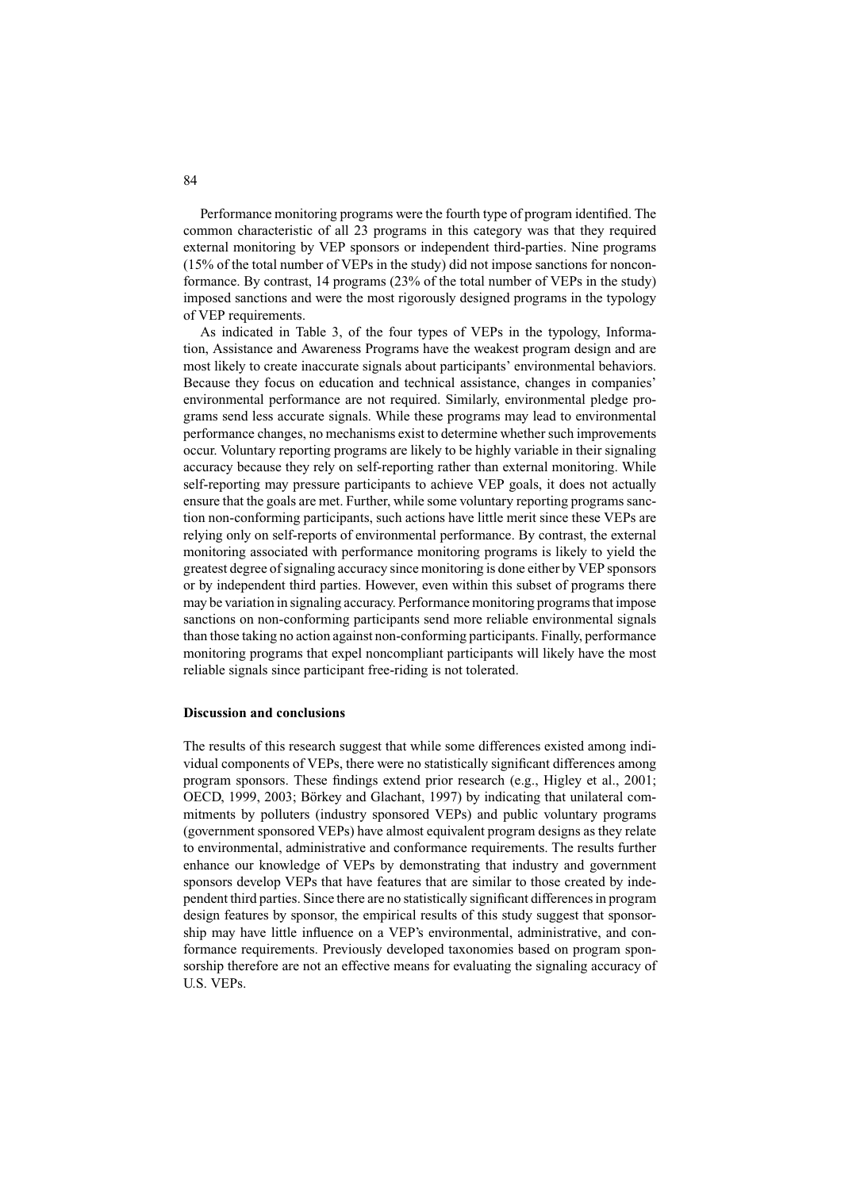Performance monitoring programs were the fourth type of program identified. The common characteristic of all 23 programs in this category was that they required external monitoring by VEP sponsors or independent third-parties. Nine programs (15% of the total number of VEPs in the study) did not impose sanctions for nonconformance. By contrast, 14 programs (23% of the total number of VEPs in the study) imposed sanctions and were the most rigorously designed programs in the typology of VEP requirements.

As indicated in Table 3, of the four types of VEPs in the typology, Information, Assistance and Awareness Programs have the weakest program design and are most likely to create inaccurate signals about participants' environmental behaviors. Because they focus on education and technical assistance, changes in companies' environmental performance are not required. Similarly, environmental pledge programs send less accurate signals. While these programs may lead to environmental performance changes, no mechanisms exist to determine whether such improvements occur. Voluntary reporting programs are likely to be highly variable in their signaling accuracy because they rely on self-reporting rather than external monitoring. While self-reporting may pressure participants to achieve VEP goals, it does not actually ensure that the goals are met. Further, while some voluntary reporting programs sanction non-conforming participants, such actions have little merit since these VEPs are relying only on self-reports of environmental performance. By contrast, the external monitoring associated with performance monitoring programs is likely to yield the greatest degree of signaling accuracy since monitoring is done either by VEP sponsors or by independent third parties. However, even within this subset of programs there may be variation in signaling accuracy. Performance monitoring programs that impose sanctions on non-conforming participants send more reliable environmental signals than those taking no action against non-conforming participants. Finally, performance monitoring programs that expel noncompliant participants will likely have the most reliable signals since participant free-riding is not tolerated.

#### **Discussion and conclusions**

The results of this research suggest that while some differences existed among individual components of VEPs, there were no statistically significant differences among program sponsors. These findings extend prior research (e.g., Higley et al., 2001; OECD, 1999, 2003; Börkey and Glachant, 1997) by indicating that unilateral commitments by polluters (industry sponsored VEPs) and public voluntary programs (government sponsored VEPs) have almost equivalent program designs as they relate to environmental, administrative and conformance requirements. The results further enhance our knowledge of VEPs by demonstrating that industry and government sponsors develop VEPs that have features that are similar to those created by independent third parties. Since there are no statistically significant differences in program design features by sponsor, the empirical results of this study suggest that sponsorship may have little influence on a VEP's environmental, administrative, and conformance requirements. Previously developed taxonomies based on program sponsorship therefore are not an effective means for evaluating the signaling accuracy of U.S. VEPs.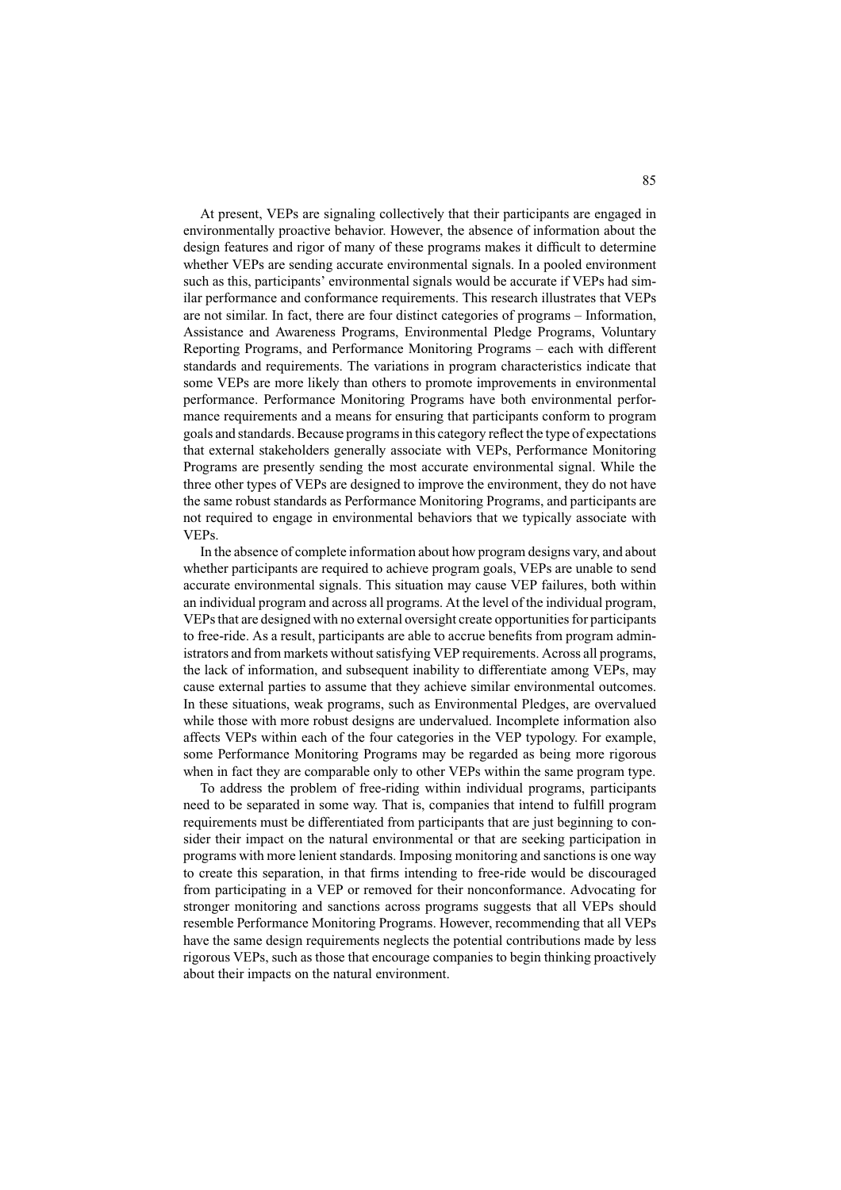At present, VEPs are signaling collectively that their participants are engaged in environmentally proactive behavior. However, the absence of information about the design features and rigor of many of these programs makes it difficult to determine whether VEPs are sending accurate environmental signals. In a pooled environment such as this, participants' environmental signals would be accurate if VEPs had similar performance and conformance requirements. This research illustrates that VEPs are not similar. In fact, there are four distinct categories of programs – Information, Assistance and Awareness Programs, Environmental Pledge Programs, Voluntary Reporting Programs, and Performance Monitoring Programs – each with different standards and requirements. The variations in program characteristics indicate that some VEPs are more likely than others to promote improvements in environmental performance. Performance Monitoring Programs have both environmental performance requirements and a means for ensuring that participants conform to program goals and standards. Because programs in this category reflect the type of expectations that external stakeholders generally associate with VEPs, Performance Monitoring Programs are presently sending the most accurate environmental signal. While the three other types of VEPs are designed to improve the environment, they do not have the same robust standards as Performance Monitoring Programs, and participants are not required to engage in environmental behaviors that we typically associate with VEPs.

In the absence of complete information about how program designs vary, and about whether participants are required to achieve program goals, VEPs are unable to send accurate environmental signals. This situation may cause VEP failures, both within an individual program and across all programs. At the level of the individual program, VEPs that are designed with no external oversight create opportunities for participants to free-ride. As a result, participants are able to accrue benefits from program administrators and from markets without satisfying VEP requirements. Across all programs, the lack of information, and subsequent inability to differentiate among VEPs, may cause external parties to assume that they achieve similar environmental outcomes. In these situations, weak programs, such as Environmental Pledges, are overvalued while those with more robust designs are undervalued. Incomplete information also affects VEPs within each of the four categories in the VEP typology. For example, some Performance Monitoring Programs may be regarded as being more rigorous when in fact they are comparable only to other VEPs within the same program type.

To address the problem of free-riding within individual programs, participants need to be separated in some way. That is, companies that intend to fulfill program requirements must be differentiated from participants that are just beginning to consider their impact on the natural environmental or that are seeking participation in programs with more lenient standards. Imposing monitoring and sanctions is one way to create this separation, in that firms intending to free-ride would be discouraged from participating in a VEP or removed for their nonconformance. Advocating for stronger monitoring and sanctions across programs suggests that all VEPs should resemble Performance Monitoring Programs. However, recommending that all VEPs have the same design requirements neglects the potential contributions made by less rigorous VEPs, such as those that encourage companies to begin thinking proactively about their impacts on the natural environment.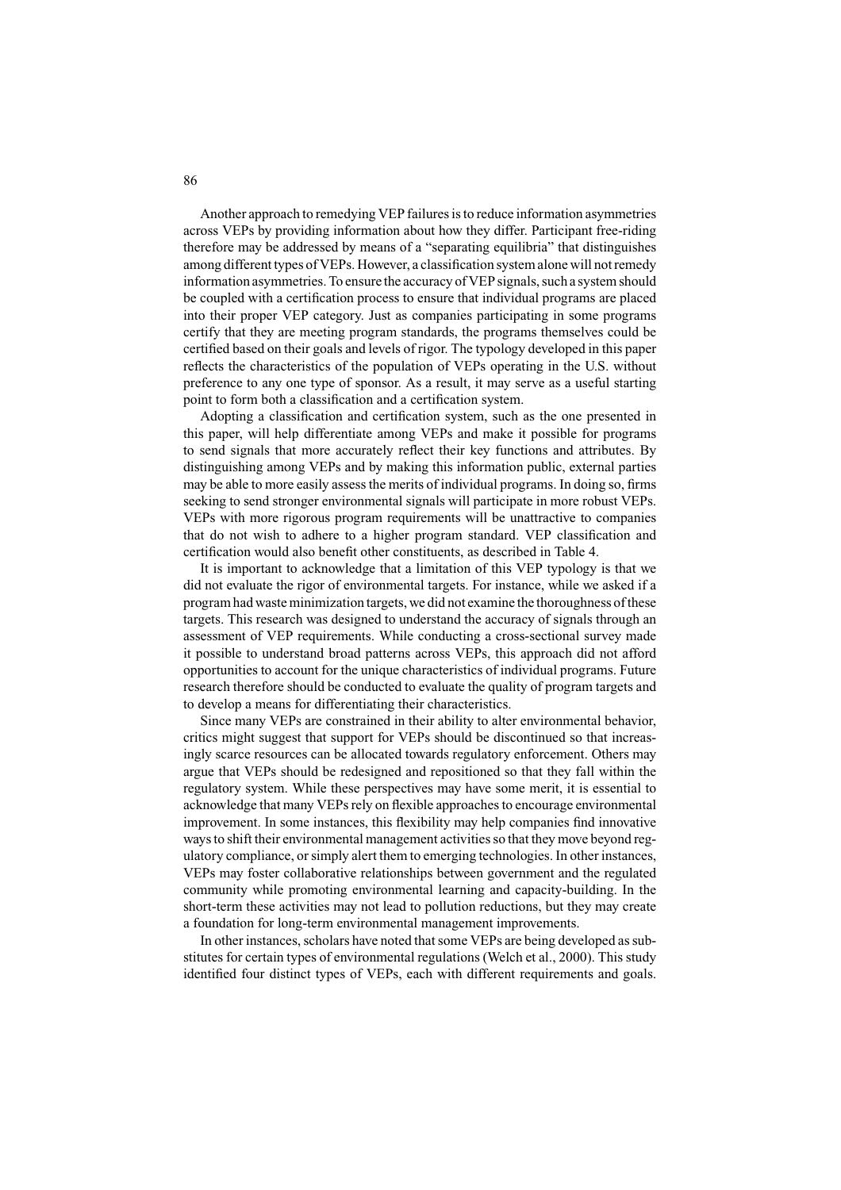Another approach to remedying VEP failures is to reduce information asymmetries across VEPs by providing information about how they differ. Participant free-riding therefore may be addressed by means of a "separating equilibria" that distinguishes among different types of VEPs. However, a classification system alone will not remedy information asymmetries. To ensure the accuracy of VEP signals, such a system should be coupled with a certification process to ensure that individual programs are placed into their proper VEP category. Just as companies participating in some programs certify that they are meeting program standards, the programs themselves could be certified based on their goals and levels of rigor. The typology developed in this paper reflects the characteristics of the population of VEPs operating in the U.S. without preference to any one type of sponsor. As a result, it may serve as a useful starting point to form both a classification and a certification system.

Adopting a classification and certification system, such as the one presented in this paper, will help differentiate among VEPs and make it possible for programs to send signals that more accurately reflect their key functions and attributes. By distinguishing among VEPs and by making this information public, external parties may be able to more easily assess the merits of individual programs. In doing so, firms seeking to send stronger environmental signals will participate in more robust VEPs. VEPs with more rigorous program requirements will be unattractive to companies that do not wish to adhere to a higher program standard. VEP classification and certification would also benefit other constituents, as described in Table 4.

It is important to acknowledge that a limitation of this VEP typology is that we did not evaluate the rigor of environmental targets. For instance, while we asked if a program had waste minimization targets, we did not examine the thoroughness of these targets. This research was designed to understand the accuracy of signals through an assessment of VEP requirements. While conducting a cross-sectional survey made it possible to understand broad patterns across VEPs, this approach did not afford opportunities to account for the unique characteristics of individual programs. Future research therefore should be conducted to evaluate the quality of program targets and to develop a means for differentiating their characteristics.

Since many VEPs are constrained in their ability to alter environmental behavior, critics might suggest that support for VEPs should be discontinued so that increasingly scarce resources can be allocated towards regulatory enforcement. Others may argue that VEPs should be redesigned and repositioned so that they fall within the regulatory system. While these perspectives may have some merit, it is essential to acknowledge that many VEPs rely on flexible approaches to encourage environmental improvement. In some instances, this flexibility may help companies find innovative ways to shift their environmental management activities so that they move beyond regulatory compliance, or simply alert them to emerging technologies. In other instances, VEPs may foster collaborative relationships between government and the regulated community while promoting environmental learning and capacity-building. In the short-term these activities may not lead to pollution reductions, but they may create a foundation for long-term environmental management improvements.

In other instances, scholars have noted that some VEPs are being developed as substitutes for certain types of environmental regulations (Welch et al., 2000). This study identified four distinct types of VEPs, each with different requirements and goals.

86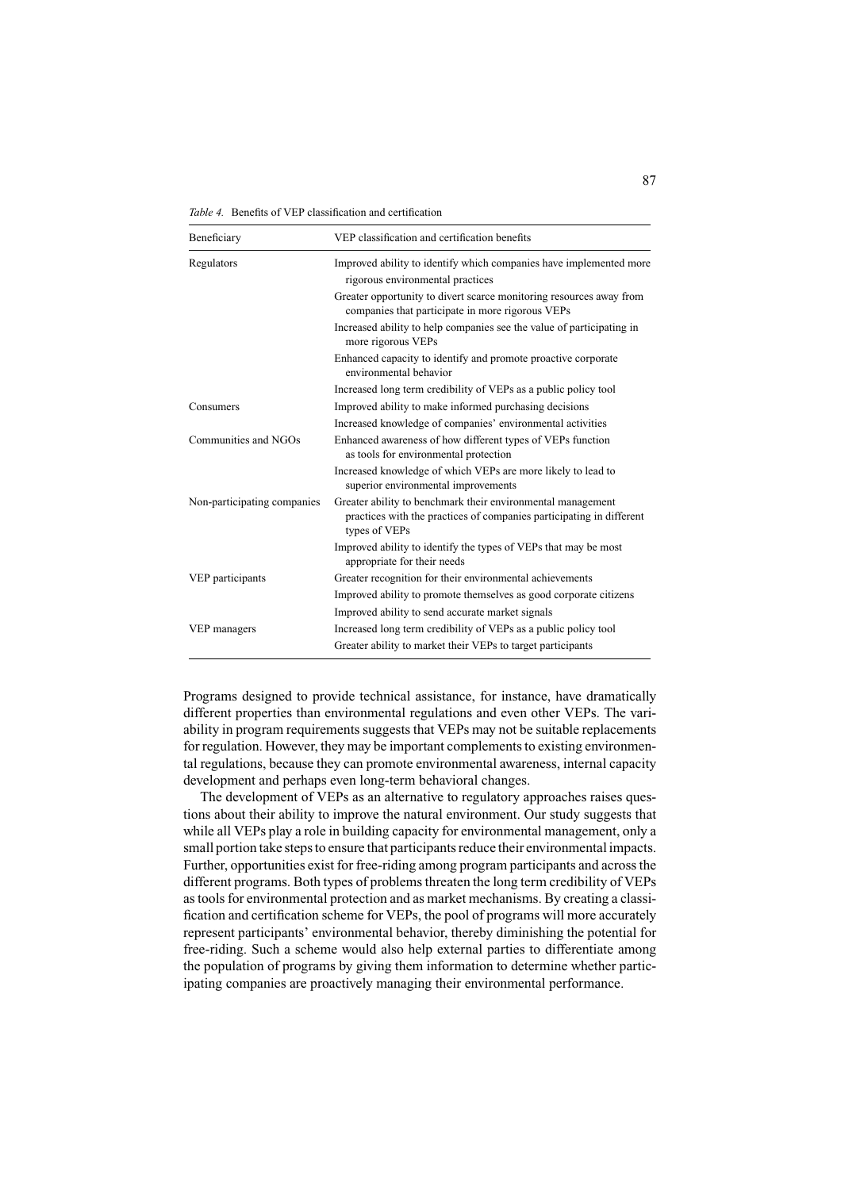*Table 4.* Benefits of VEP classification and certification

| Beneficiary                 | VEP classification and certification benefits                                                                                                        |
|-----------------------------|------------------------------------------------------------------------------------------------------------------------------------------------------|
| Regulators                  | Improved ability to identify which companies have implemented more<br>rigorous environmental practices                                               |
|                             | Greater opportunity to divert scarce monitoring resources away from<br>companies that participate in more rigorous VEPs                              |
|                             | Increased ability to help companies see the value of participating in<br>more rigorous VEPs                                                          |
|                             | Enhanced capacity to identify and promote proactive corporate<br>environmental behavior                                                              |
|                             | Increased long term credibility of VEPs as a public policy tool                                                                                      |
| Consumers                   | Improved ability to make informed purchasing decisions                                                                                               |
|                             | Increased knowledge of companies' environmental activities                                                                                           |
| Communities and NGOs        | Enhanced awareness of how different types of VEPs function<br>as tools for environmental protection                                                  |
|                             | Increased knowledge of which VEPs are more likely to lead to<br>superior environmental improvements                                                  |
| Non-participating companies | Greater ability to benchmark their environmental management<br>practices with the practices of companies participating in different<br>types of VEPs |
|                             | Improved ability to identify the types of VEPs that may be most<br>appropriate for their needs                                                       |
| VEP participants            | Greater recognition for their environmental achievements                                                                                             |
|                             | Improved ability to promote themselves as good corporate citizens                                                                                    |
|                             | Improved ability to send accurate market signals                                                                                                     |
| VEP managers                | Increased long term credibility of VEPs as a public policy tool                                                                                      |
|                             | Greater ability to market their VEPs to target participants                                                                                          |

Programs designed to provide technical assistance, for instance, have dramatically different properties than environmental regulations and even other VEPs. The variability in program requirements suggests that VEPs may not be suitable replacements for regulation. However, they may be important complements to existing environmental regulations, because they can promote environmental awareness, internal capacity development and perhaps even long-term behavioral changes.

The development of VEPs as an alternative to regulatory approaches raises questions about their ability to improve the natural environment. Our study suggests that while all VEPs play a role in building capacity for environmental management, only a small portion take steps to ensure that participants reduce their environmental impacts. Further, opportunities exist for free-riding among program participants and across the different programs. Both types of problems threaten the long term credibility of VEPs as tools for environmental protection and as market mechanisms. By creating a classification and certification scheme for VEPs, the pool of programs will more accurately represent participants' environmental behavior, thereby diminishing the potential for free-riding. Such a scheme would also help external parties to differentiate among the population of programs by giving them information to determine whether participating companies are proactively managing their environmental performance.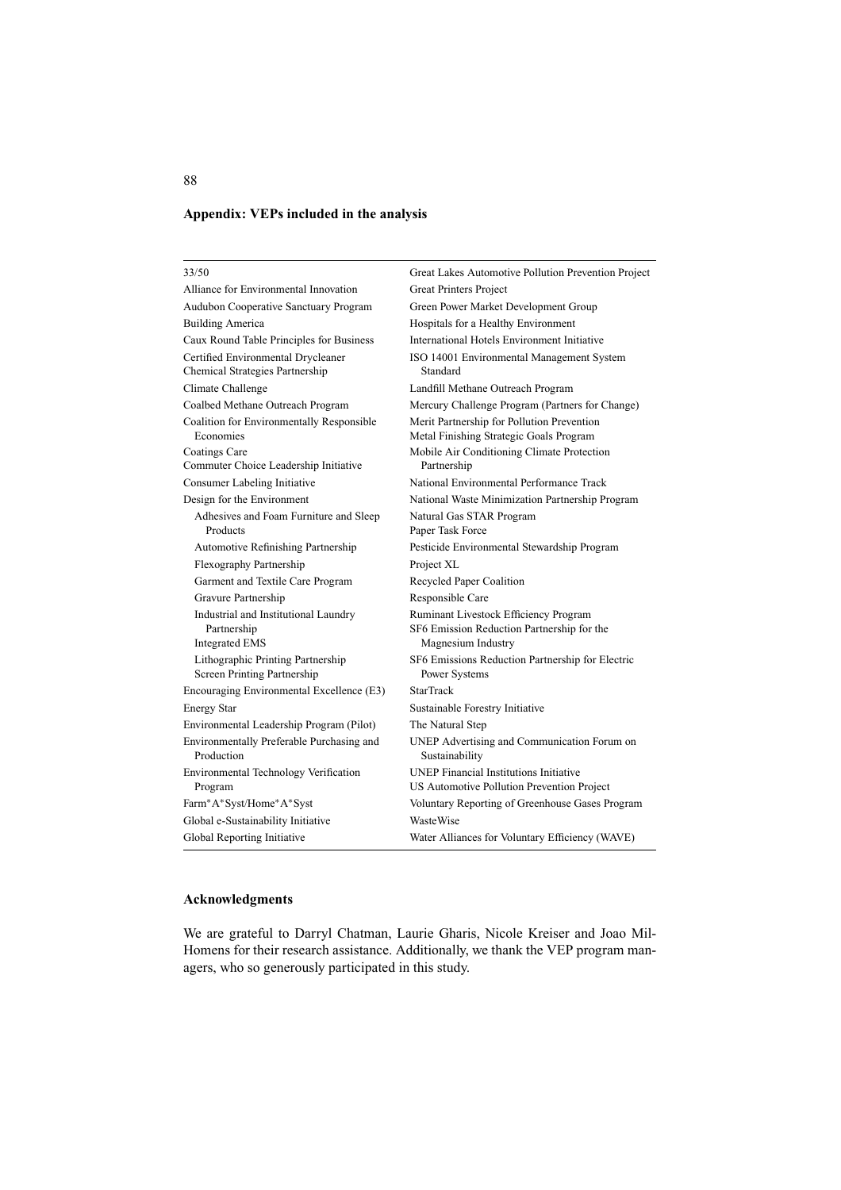# **Appendix: VEPs included in the analysis**

| 33/50                                                                        | Great Lakes Automotive Pollution Prevention Project                                                       |
|------------------------------------------------------------------------------|-----------------------------------------------------------------------------------------------------------|
| Alliance for Environmental Innovation                                        | <b>Great Printers Project</b>                                                                             |
| <b>Audubon Cooperative Sanctuary Program</b>                                 | Green Power Market Development Group                                                                      |
| <b>Building America</b>                                                      | Hospitals for a Healthy Environment                                                                       |
| Caux Round Table Principles for Business                                     | International Hotels Environment Initiative                                                               |
| Certified Environmental Drycleaner<br><b>Chemical Strategies Partnership</b> | ISO 14001 Environmental Management System<br>Standard                                                     |
| Climate Challenge                                                            | Landfill Methane Outreach Program                                                                         |
| Coalbed Methane Outreach Program                                             | Mercury Challenge Program (Partners for Change)                                                           |
| Coalition for Environmentally Responsible<br>Economies                       | Merit Partnership for Pollution Prevention<br>Metal Finishing Strategic Goals Program                     |
| <b>Coatings Care</b><br>Commuter Choice Leadership Initiative                | Mobile Air Conditioning Climate Protection<br>Partnership                                                 |
| Consumer Labeling Initiative                                                 | National Environmental Performance Track                                                                  |
| Design for the Environment                                                   | National Waste Minimization Partnership Program                                                           |
| Adhesives and Foam Furniture and Sleep<br>Products                           | Natural Gas STAR Program<br>Paper Task Force                                                              |
| <b>Automotive Refinishing Partnership</b>                                    | Pesticide Environmental Stewardship Program                                                               |
| Flexography Partnership                                                      | Project XL                                                                                                |
| Garment and Textile Care Program                                             | Recycled Paper Coalition                                                                                  |
| Gravure Partnership                                                          | Responsible Care                                                                                          |
| Industrial and Institutional Laundry<br>Partnership<br><b>Integrated EMS</b> | Ruminant Livestock Efficiency Program<br>SF6 Emission Reduction Partnership for the<br>Magnesium Industry |
| Lithographic Printing Partnership<br>Screen Printing Partnership             | SF6 Emissions Reduction Partnership for Electric<br>Power Systems                                         |
| Encouraging Environmental Excellence (E3)                                    | <b>StarTrack</b>                                                                                          |
| <b>Energy Star</b>                                                           | Sustainable Forestry Initiative                                                                           |
| Environmental Leadership Program (Pilot)                                     | The Natural Step                                                                                          |
| Environmentally Preferable Purchasing and<br>Production                      | UNEP Advertising and Communication Forum on<br>Sustainability                                             |
| Environmental Technology Verification<br>Program                             | <b>UNEP Financial Institutions Initiative</b><br>US Automotive Pollution Prevention Project               |
| Farm*A*Syst/Home*A*Syst                                                      | Voluntary Reporting of Greenhouse Gases Program                                                           |
| Global e-Sustainability Initiative                                           | WasteWise                                                                                                 |
| Global Reporting Initiative                                                  | Water Alliances for Voluntary Efficiency (WAVE)                                                           |

## **Acknowledgments**

We are grateful to Darryl Chatman, Laurie Gharis, Nicole Kreiser and Joao Mil-Homens for their research assistance. Additionally, we thank the VEP program managers, who so generously participated in this study.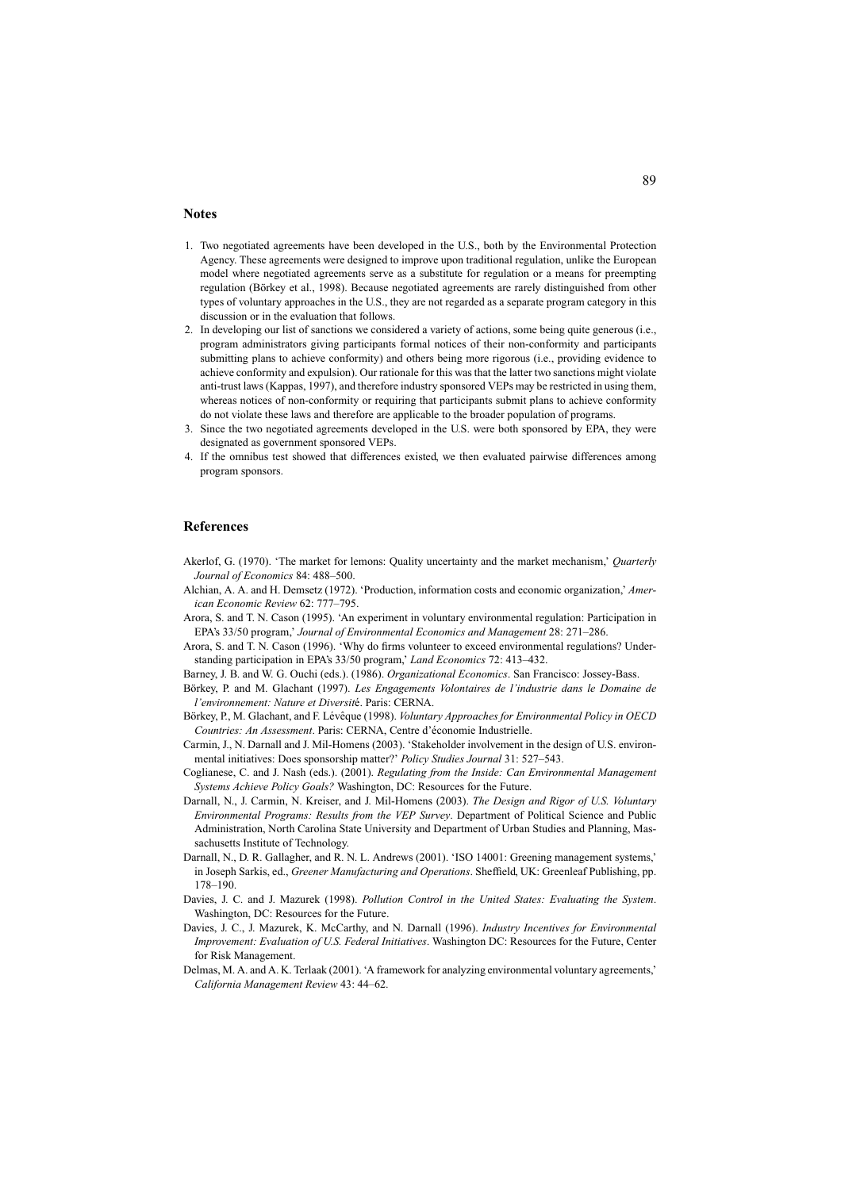#### **Notes**

- 1. Two negotiated agreements have been developed in the U.S., both by the Environmental Protection Agency. These agreements were designed to improve upon traditional regulation, unlike the European model where negotiated agreements serve as a substitute for regulation or a means for preempting regulation (Börkey et al., 1998). Because negotiated agreements are rarely distinguished from other types of voluntary approaches in the U.S., they are not regarded as a separate program category in this discussion or in the evaluation that follows.
- 2. In developing our list of sanctions we considered a variety of actions, some being quite generous (i.e., program administrators giving participants formal notices of their non-conformity and participants submitting plans to achieve conformity) and others being more rigorous (i.e., providing evidence to achieve conformity and expulsion). Our rationale for this was that the latter two sanctions might violate anti-trust laws (Kappas, 1997), and therefore industry sponsored VEPs may be restricted in using them, whereas notices of non-conformity or requiring that participants submit plans to achieve conformity do not violate these laws and therefore are applicable to the broader population of programs.
- 3. Since the two negotiated agreements developed in the U.S. were both sponsored by EPA, they were designated as government sponsored VEPs.
- 4. If the omnibus test showed that differences existed, we then evaluated pairwise differences among program sponsors.

#### **References**

- Akerlof, G. (1970). 'The market for lemons: Quality uncertainty and the market mechanism,' *Quarterly Journal of Economics* 84: 488–500.
- Alchian, A. A. and H. Demsetz (1972). 'Production, information costs and economic organization,' *American Economic Review* 62: 777–795.
- Arora, S. and T. N. Cason (1995). 'An experiment in voluntary environmental regulation: Participation in EPA's 33/50 program,' *Journal of Environmental Economics and Management* 28: 271–286.
- Arora, S. and T. N. Cason (1996). 'Why do firms volunteer to exceed environmental regulations? Understanding participation in EPA's 33/50 program,' *Land Economics* 72: 413–432.
- Barney, J. B. and W. G. Ouchi (eds.). (1986). *Organizational Economics*. San Francisco: Jossey-Bass.
- Börkey, P. and M. Glachant (1997). *Les Engagements Volontaires de l'industrie dans le Domaine de l'environnement: Nature et Diversit*e. Paris: CERNA. ´
- Börkey, P., M. Glachant, and F. Lévêque (1998). *Voluntary Approaches for Environmental Policy in OECD Countries: An Assessment*. Paris: CERNA, Centre d'économie Industrielle.
- Carmin, J., N. Darnall and J. Mil-Homens (2003). 'Stakeholder involvement in the design of U.S. environmental initiatives: Does sponsorship matter?' *Policy Studies Journal* 31: 527–543.
- Coglianese, C. and J. Nash (eds.). (2001). *Regulating from the Inside: Can Environmental Management Systems Achieve Policy Goals?* Washington, DC: Resources for the Future.
- Darnall, N., J. Carmin, N. Kreiser, and J. Mil-Homens (2003). *The Design and Rigor of U.S. Voluntary Environmental Programs: Results from the VEP Survey*. Department of Political Science and Public Administration, North Carolina State University and Department of Urban Studies and Planning, Massachusetts Institute of Technology.
- Darnall, N., D. R. Gallagher, and R. N. L. Andrews (2001). 'ISO 14001: Greening management systems,' in Joseph Sarkis, ed., *Greener Manufacturing and Operations*. Sheffield, UK: Greenleaf Publishing, pp. 178–190.
- Davies, J. C. and J. Mazurek (1998). *Pollution Control in the United States: Evaluating the System*. Washington, DC: Resources for the Future.
- Davies, J. C., J. Mazurek, K. McCarthy, and N. Darnall (1996). *Industry Incentives for Environmental Improvement: Evaluation of U.S. Federal Initiatives*. Washington DC: Resources for the Future, Center for Risk Management.
- Delmas, M. A. and A. K. Terlaak (2001). 'A framework for analyzing environmental voluntary agreements,' *California Management Review* 43: 44–62.